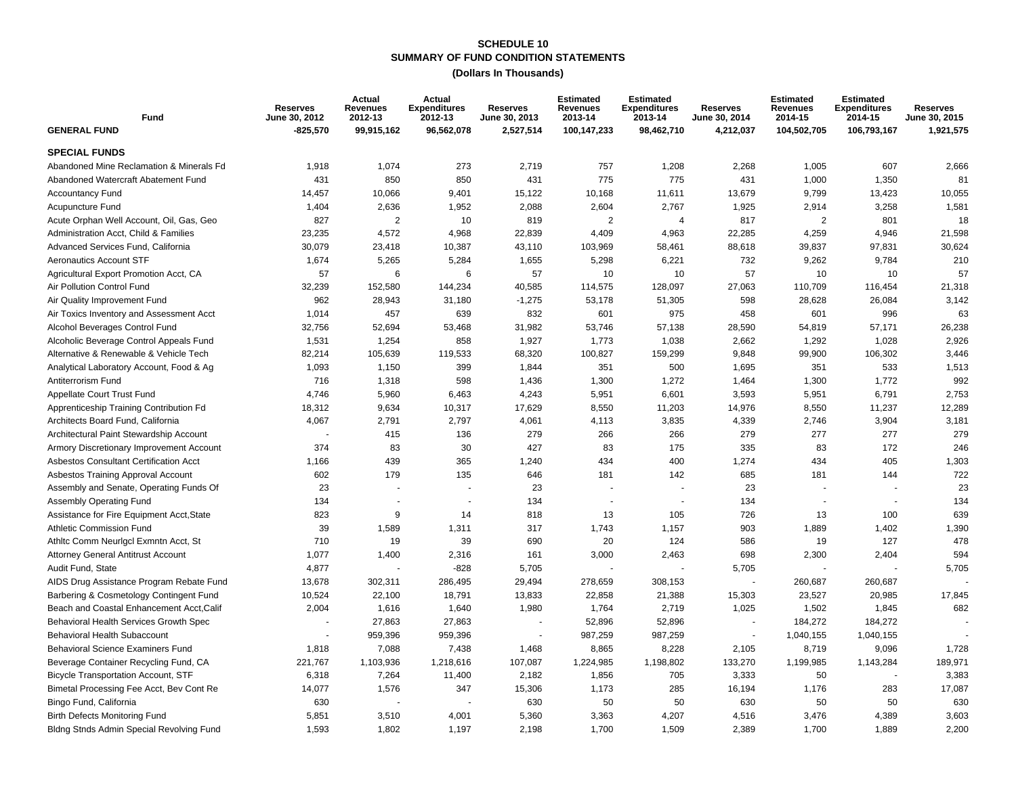#### **SUMMARY OF FUND CONDITION STATEMENTS SCHEDULE 10**

| Fund                                          | <b>Reserves</b><br>June 30, 2012 | Actual<br><b>Revenues</b><br>2012-13 | Actual<br><b>Expenditures</b><br>2012-13 | <b>Reserves</b><br>June 30, 2013 | <b>Estimated</b><br><b>Revenues</b><br>2013-14 | <b>Estimated</b><br><b>Expenditures</b><br>2013-14 | <b>Reserves</b><br>June 30, 2014 | <b>Estimated</b><br><b>Revenues</b><br>2014-15 | <b>Estimated</b><br><b>Expenditures</b><br>2014-15 | <b>Reserves</b><br>June 30, 2015 |
|-----------------------------------------------|----------------------------------|--------------------------------------|------------------------------------------|----------------------------------|------------------------------------------------|----------------------------------------------------|----------------------------------|------------------------------------------------|----------------------------------------------------|----------------------------------|
| <b>GENERAL FUND</b>                           | $-825,570$                       | 99,915,162                           | 96,562,078                               | 2,527,514                        | 100,147,233                                    | 98,462,710                                         | 4,212,037                        | 104,502,705                                    | 106,793,167                                        | 1,921,575                        |
| <b>SPECIAL FUNDS</b>                          |                                  |                                      |                                          |                                  |                                                |                                                    |                                  |                                                |                                                    |                                  |
| Abandoned Mine Reclamation & Minerals Fd      | 1,918                            | 1,074                                | 273                                      | 2,719                            | 757                                            | 1,208                                              | 2,268                            | 1,005                                          | 607                                                | 2,666                            |
| Abandoned Watercraft Abatement Fund           | 431                              | 850                                  | 850                                      | 431                              | 775                                            | 775                                                | 431                              | 1,000                                          | 1,350                                              | 81                               |
| <b>Accountancy Fund</b>                       | 14,457                           | 10,066                               | 9,401                                    | 15,122                           | 10,168                                         | 11,611                                             | 13,679                           | 9,799                                          | 13,423                                             | 10,055                           |
| <b>Acupuncture Fund</b>                       | 1,404                            | 2,636                                | 1,952                                    | 2,088                            | 2,604                                          | 2,767                                              | 1,925                            | 2,914                                          | 3,258                                              | 1,581                            |
| Acute Orphan Well Account, Oil, Gas, Geo      | 827                              | $\overline{2}$                       | 10                                       | 819                              | $\mathbf{2}$                                   | $\overline{4}$                                     | 817                              | 2                                              | 801                                                | 18                               |
| Administration Acct, Child & Families         | 23,235                           | 4,572                                | 4,968                                    | 22,839                           | 4,409                                          | 4,963                                              | 22,285                           | 4,259                                          | 4,946                                              | 21,598                           |
| Advanced Services Fund, California            | 30,079                           | 23,418                               | 10,387                                   | 43,110                           | 103,969                                        | 58,461                                             | 88,618                           | 39,837                                         | 97,831                                             | 30,624                           |
| <b>Aeronautics Account STF</b>                | 1,674                            | 5,265                                | 5,284                                    | 1,655                            | 5,298                                          | 6,221                                              | 732                              | 9,262                                          | 9,784                                              | 210                              |
| Agricultural Export Promotion Acct, CA        | 57                               | 6                                    | 6                                        | 57                               | 10                                             | 10                                                 | 57                               | 10                                             | 10                                                 | 57                               |
| Air Pollution Control Fund                    | 32,239                           | 152,580                              | 144,234                                  | 40,585                           | 114,575                                        | 128,097                                            | 27,063                           | 110,709                                        | 116,454                                            | 21,318                           |
| Air Quality Improvement Fund                  | 962                              | 28,943                               | 31,180                                   | $-1,275$                         | 53,178                                         | 51,305                                             | 598                              | 28,628                                         | 26,084                                             | 3,142                            |
| Air Toxics Inventory and Assessment Acct      | 1,014                            | 457                                  | 639                                      | 832                              | 601                                            | 975                                                | 458                              | 601                                            | 996                                                | 63                               |
| Alcohol Beverages Control Fund                | 32,756                           | 52,694                               | 53,468                                   | 31,982                           | 53,746                                         | 57,138                                             | 28,590                           | 54,819                                         | 57,171                                             | 26,238                           |
| Alcoholic Beverage Control Appeals Fund       | 1,531                            | 1,254                                | 858                                      | 1,927                            | 1,773                                          | 1,038                                              | 2,662                            | 1,292                                          | 1,028                                              | 2,926                            |
| Alternative & Renewable & Vehicle Tech        | 82,214                           | 105,639                              | 119,533                                  | 68,320                           | 100,827                                        | 159,299                                            | 9,848                            | 99,900                                         | 106,302                                            | 3,446                            |
| Analytical Laboratory Account, Food & Ag      | 1,093                            | 1,150                                | 399                                      | 1,844                            | 351                                            | 500                                                | 1,695                            | 351                                            | 533                                                | 1,513                            |
| Antiterrorism Fund                            | 716                              | 1,318                                | 598                                      | 1,436                            | 1,300                                          | 1,272                                              | 1,464                            | 1,300                                          | 1,772                                              | 992                              |
| Appellate Court Trust Fund                    | 4,746                            | 5,960                                | 6,463                                    | 4,243                            | 5,951                                          | 6,601                                              | 3,593                            | 5,951                                          | 6,791                                              | 2,753                            |
| Apprenticeship Training Contribution Fd       | 18,312                           | 9,634                                | 10,317                                   | 17,629                           | 8,550                                          | 11,203                                             | 14,976                           | 8,550                                          | 11,237                                             | 12,289                           |
| Architects Board Fund, California             | 4,067                            | 2,791                                | 2,797                                    | 4,061                            | 4,113                                          | 3,835                                              | 4,339                            | 2,746                                          | 3,904                                              | 3,181                            |
| Architectural Paint Stewardship Account       |                                  | 415                                  | 136                                      | 279                              | 266                                            | 266                                                | 279                              | 277                                            | 277                                                | 279                              |
| Armory Discretionary Improvement Account      | 374                              | 83                                   | 30                                       | 427                              | 83                                             | 175                                                | 335                              | 83                                             | 172                                                | 246                              |
| <b>Asbestos Consultant Certification Acct</b> | 1,166                            | 439                                  | 365                                      | 1,240                            | 434                                            | 400                                                | 1,274                            | 434                                            | 405                                                | 1,303                            |
| Asbestos Training Approval Account            | 602                              | 179                                  | 135                                      | 646                              | 181                                            | 142                                                | 685                              | 181                                            | 144                                                | 722                              |
| Assembly and Senate, Operating Funds Of       | 23                               |                                      |                                          | 23                               |                                                |                                                    | 23                               |                                                |                                                    | 23                               |
| <b>Assembly Operating Fund</b>                | 134                              | $\overline{\phantom{a}}$             |                                          | 134                              |                                                | $\sim$                                             | 134                              | $\blacksquare$                                 | $\overline{\phantom{a}}$                           | 134                              |
| Assistance for Fire Equipment Acct, State     | 823                              | 9                                    | 14                                       | 818                              | 13                                             | 105                                                | 726                              | 13                                             | 100                                                | 639                              |
| Athletic Commission Fund                      | 39                               | 1,589                                | 1,311                                    | 317                              | 1,743                                          | 1,157                                              | 903                              | 1,889                                          | 1,402                                              | 1,390                            |
| Athltc Comm Neurlgcl Exmntn Acct, St          | 710                              | 19                                   | 39                                       | 690                              | 20                                             | 124                                                | 586                              | 19                                             | 127                                                | 478                              |
| <b>Attorney General Antitrust Account</b>     | 1,077                            | 1,400                                | 2,316                                    | 161                              | 3,000                                          | 2,463                                              | 698                              | 2,300                                          | 2,404                                              | 594                              |
| Audit Fund, State                             | 4,877                            |                                      | $-828$                                   | 5,705                            |                                                |                                                    | 5,705                            |                                                |                                                    | 5,705                            |
| AIDS Drug Assistance Program Rebate Fund      | 13,678                           | 302,311                              | 286,495                                  | 29,494                           | 278,659                                        | 308,153                                            | $\sim$                           | 260,687                                        | 260,687                                            |                                  |
| Barbering & Cosmetology Contingent Fund       | 10,524                           | 22,100                               | 18,791                                   | 13,833                           | 22,858                                         | 21,388                                             | 15,303                           | 23,527                                         | 20,985                                             | 17,845                           |
| Beach and Coastal Enhancement Acct, Calif     | 2,004                            | 1,616                                | 1,640                                    | 1,980                            | 1,764                                          | 2,719                                              | 1,025                            | 1,502                                          | 1,845                                              | 682                              |
| Behavioral Health Services Growth Spec        |                                  | 27,863                               | 27,863                                   |                                  | 52,896                                         | 52,896                                             | $\sim$                           | 184,272                                        | 184,272                                            |                                  |
| Behavioral Health Subaccount                  |                                  | 959,396                              | 959,396                                  |                                  | 987,259                                        | 987,259                                            | $\blacksquare$                   | 1,040,155                                      | 1,040,155                                          |                                  |
| <b>Behavioral Science Examiners Fund</b>      | 1,818                            | 7,088                                | 7,438                                    | 1,468                            | 8,865                                          | 8,228                                              | 2,105                            | 8,719                                          | 9,096                                              | 1,728                            |
| Beverage Container Recycling Fund, CA         | 221,767                          | 1,103,936                            | 1,218,616                                | 107,087                          | 1,224,985                                      | 1,198,802                                          | 133,270                          | 1,199,985                                      | 1,143,284                                          | 189,971                          |
| <b>Bicycle Transportation Account, STF</b>    | 6,318                            | 7,264                                | 11,400                                   | 2,182                            | 1,856                                          | 705                                                | 3,333                            | 50                                             |                                                    | 3,383                            |
| Bimetal Processing Fee Acct, Bev Cont Re      | 14,077                           | 1,576                                | 347                                      | 15,306                           | 1,173                                          | 285                                                | 16,194                           | 1,176                                          | 283                                                | 17,087                           |
| Bingo Fund, California                        | 630                              |                                      |                                          | 630                              | 50                                             | 50                                                 | 630                              | 50                                             | 50                                                 | 630                              |
| <b>Birth Defects Monitoring Fund</b>          | 5,851                            | 3,510                                | 4,001                                    | 5,360                            | 3,363                                          | 4,207                                              | 4,516                            | 3,476                                          | 4,389                                              | 3,603                            |
| Bldng Stnds Admin Special Revolving Fund      | 1,593                            | 1.802                                | 1.197                                    | 2,198                            | 1.700                                          | 1,509                                              | 2,389                            | 1,700                                          | 1,889                                              | 2.200                            |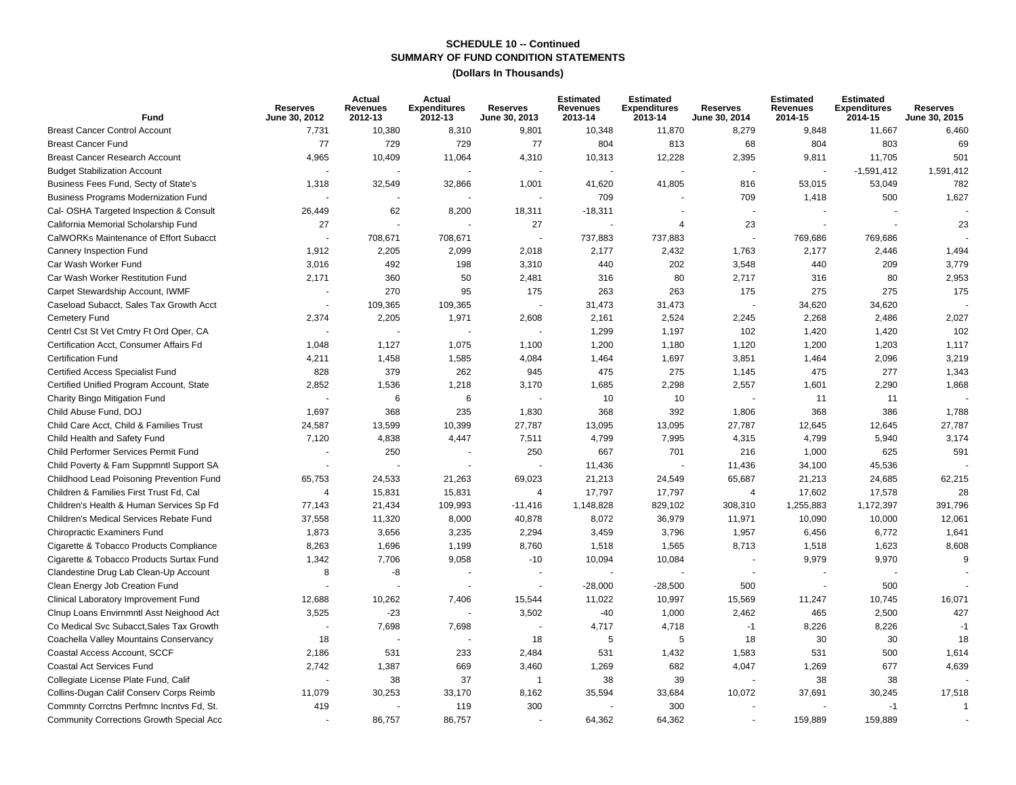| Fund                                            | <b>Reserves</b><br>June 30, 2012 | Actual<br><b>Revenues</b><br>2012-13 | Actual<br><b>Expenditures</b><br>2012-13 | <b>Reserves</b><br>June 30, 2013 | <b>Estimated</b><br><b>Revenues</b><br>2013-14 | <b>Estimated</b><br><b>Expenditures</b><br>2013-14 | <b>Reserves</b><br>June 30, 2014 | <b>Estimated</b><br>Revenues<br>2014-15 | <b>Estimated</b><br><b>Expenditures</b><br>2014-15 | <b>Reserves</b><br>June 30, 2015 |
|-------------------------------------------------|----------------------------------|--------------------------------------|------------------------------------------|----------------------------------|------------------------------------------------|----------------------------------------------------|----------------------------------|-----------------------------------------|----------------------------------------------------|----------------------------------|
| <b>Breast Cancer Control Account</b>            | 7,731                            | 10,380                               | 8,310                                    | 9,801                            | 10,348                                         | 11,870                                             | 8,279                            | 9,848                                   | 11,667                                             | 6,460                            |
| <b>Breast Cancer Fund</b>                       | 77                               | 729                                  | 729                                      | 77                               | 804                                            | 813                                                | 68                               | 804                                     | 803                                                | 69                               |
| <b>Breast Cancer Research Account</b>           | 4,965                            | 10,409                               | 11,064                                   | 4,310                            | 10,313                                         | 12,228                                             | 2,395                            | 9,811                                   | 11,705                                             | 501                              |
| <b>Budget Stabilization Account</b>             |                                  |                                      |                                          |                                  |                                                |                                                    |                                  | $\blacksquare$                          | $-1,591,412$                                       | 1,591,412                        |
| Business Fees Fund, Secty of State's            | 1,318                            | 32,549                               | 32,866                                   | 1,001                            | 41,620                                         | 41,805                                             | 816                              | 53,015                                  | 53,049                                             | 782                              |
| <b>Business Programs Modernization Fund</b>     |                                  |                                      |                                          |                                  | 709                                            |                                                    | 709                              | 1,418                                   | 500                                                | 1,627                            |
| Cal- OSHA Targeted Inspection & Consult         | 26,449                           | 62                                   | 8,200                                    | 18,311                           | $-18,311$                                      |                                                    |                                  |                                         |                                                    |                                  |
| California Memorial Scholarship Fund            | 27                               |                                      |                                          | 27                               |                                                | 4                                                  | 23                               | $\sim$                                  |                                                    | 23                               |
| CalWORKs Maintenance of Effort Subacct          |                                  | 708,671                              | 708,671                                  |                                  | 737,883                                        | 737,883                                            | $\sim$                           | 769,686                                 | 769,686                                            |                                  |
| Cannery Inspection Fund                         | 1,912                            | 2,205                                | 2,099                                    | 2,018                            | 2,177                                          | 2,432                                              | 1,763                            | 2,177                                   | 2,446                                              | 1,494                            |
| Car Wash Worker Fund                            | 3,016                            | 492                                  | 198                                      | 3,310                            | 440                                            | 202                                                | 3,548                            | 440                                     | 209                                                | 3,779                            |
| Car Wash Worker Restitution Fund                | 2,171                            | 360                                  | 50                                       | 2,481                            | 316                                            | 80                                                 | 2,717                            | 316                                     | 80                                                 | 2,953                            |
| Carpet Stewardship Account, IWMF                |                                  | 270                                  | 95                                       | 175                              | 263                                            | 263                                                | 175                              | 275                                     | 275                                                | 175                              |
| Caseload Subacct, Sales Tax Growth Acct         |                                  | 109,365                              | 109,365                                  |                                  | 31,473                                         | 31,473                                             |                                  | 34,620                                  | 34,620                                             |                                  |
| Cemetery Fund                                   | 2,374                            | 2,205                                | 1,971                                    | 2,608                            | 2,161                                          | 2,524                                              | 2,245                            | 2,268                                   | 2,486                                              | 2,027                            |
| Centrl Cst St Vet Cmtry Ft Ord Oper, CA         |                                  |                                      |                                          |                                  | 1,299                                          | 1,197                                              | 102                              | 1,420                                   | 1,420                                              | 102                              |
| Certification Acct, Consumer Affairs Fd         | 1,048                            | 1,127                                | 1,075                                    | 1,100                            | 1,200                                          | 1,180                                              | 1,120                            | 1,200                                   | 1,203                                              | 1,117                            |
| <b>Certification Fund</b>                       | 4,211                            | 1,458                                | 1,585                                    | 4,084                            | 1,464                                          | 1,697                                              | 3,851                            | 1,464                                   | 2,096                                              | 3,219                            |
| Certified Access Specialist Fund                | 828                              | 379                                  | 262                                      | 945                              | 475                                            | 275                                                | 1,145                            | 475                                     | 277                                                | 1,343                            |
| Certified Unified Program Account, State        | 2,852                            | 1,536                                | 1,218                                    | 3,170                            | 1,685                                          | 2,298                                              | 2,557                            | 1,601                                   | 2,290                                              | 1,868                            |
| Charity Bingo Mitigation Fund                   |                                  | 6                                    | 6                                        |                                  | 10                                             | 10                                                 |                                  | 11                                      | 11                                                 |                                  |
| Child Abuse Fund. DOJ                           | 1,697                            | 368                                  | 235                                      | 1,830                            | 368                                            | 392                                                | 1,806                            | 368                                     | 386                                                | 1,788                            |
| Child Care Acct, Child & Families Trust         | 24,587                           | 13,599                               | 10,399                                   | 27,787                           | 13,095                                         | 13,095                                             | 27,787                           | 12,645                                  | 12,645                                             | 27,787                           |
| Child Health and Safety Fund                    | 7,120                            | 4,838                                | 4,447                                    | 7,511                            | 4,799                                          | 7,995                                              | 4,315                            | 4,799                                   | 5,940                                              | 3,174                            |
| Child Performer Services Permit Fund            |                                  | 250                                  |                                          | 250                              | 667                                            | 701                                                | 216                              | 1,000                                   | 625                                                | 591                              |
| Child Poverty & Fam Suppmntl Support SA         |                                  |                                      |                                          |                                  | 11,436                                         |                                                    | 11,436                           | 34,100                                  | 45,536                                             |                                  |
| Childhood Lead Poisoning Prevention Fund        | 65,753                           | 24,533                               | 21,263                                   | 69,023                           | 21,213                                         | 24,549                                             | 65,687                           | 21,213                                  | 24,685                                             | 62,215                           |
| Children & Families First Trust Fd, Cal         | $\Delta$                         | 15,831                               | 15,831                                   | $\overline{4}$                   | 17,797                                         | 17,797                                             | 4                                | 17,602                                  | 17,578                                             | 28                               |
| Children's Health & Human Services Sp Fd        | 77,143                           | 21,434                               | 109,993                                  | -11,416                          | 1,148,828                                      | 829,102                                            | 308,310                          | 1,255,883                               | 1,172,397                                          | 391,796                          |
| Children's Medical Services Rebate Fund         | 37,558                           | 11,320                               | 8,000                                    | 40,878                           | 8,072                                          | 36,979                                             | 11,971                           | 10,090                                  | 10,000                                             | 12,061                           |
| <b>Chiropractic Examiners Fund</b>              | 1,873                            | 3,656                                | 3,235                                    | 2,294                            | 3,459                                          | 3,796                                              | 1,957                            | 6,456                                   | 6,772                                              | 1,641                            |
| Cigarette & Tobacco Products Compliance         | 8,263                            | 1,696                                | 1,199                                    | 8,760                            | 1,518                                          | 1,565                                              | 8,713                            | 1,518                                   | 1,623                                              | 8,608                            |
| Cigarette & Tobacco Products Surtax Fund        | 1,342                            | 7,706                                | 9,058                                    | $-10$                            | 10,094                                         | 10,084                                             |                                  | 9,979                                   | 9,970                                              | 9                                |
| Clandestine Drug Lab Clean-Up Account           | 8                                | -8                                   |                                          |                                  |                                                |                                                    | $\overline{a}$                   | $\overline{\phantom{a}}$                |                                                    |                                  |
| Clean Energy Job Creation Fund                  |                                  |                                      |                                          |                                  | $-28,000$                                      | $-28,500$                                          | 500                              |                                         | 500                                                |                                  |
| Clinical Laboratory Improvement Fund            | 12,688                           | 10,262                               | 7,406                                    | 15,544                           | 11,022                                         | 10,997                                             | 15,569                           | 11,247                                  | 10,745                                             | 16,071                           |
| Clnup Loans Envirnmntl Asst Neighood Act        | 3,525                            | $-23$                                |                                          | 3,502                            | $-40$                                          | 1,000                                              | 2,462                            | 465                                     | 2,500                                              | 427                              |
| Co Medical Svc Subacct, Sales Tax Growth        |                                  | 7,698                                | 7,698                                    |                                  | 4,717                                          | 4,718                                              | $-1$                             | 8,226                                   | 8,226                                              | $-1$                             |
| Coachella Valley Mountains Conservancy          | 18                               |                                      |                                          | 18                               | 5                                              | 5                                                  | 18                               | 30                                      | 30                                                 | 18                               |
| Coastal Access Account, SCCF                    | 2,186                            | 531                                  | 233                                      | 2,484                            | 531                                            | 1,432                                              | 1,583                            | 531                                     | 500                                                | 1,614                            |
| Coastal Act Services Fund                       | 2,742                            | 1,387                                | 669                                      | 3,460                            | 1,269                                          | 682                                                | 4,047                            | 1,269                                   | 677                                                | 4,639                            |
| Collegiate License Plate Fund, Calif            |                                  | 38                                   | 37                                       | $\mathbf{1}$                     | 38                                             | 39                                                 |                                  | 38                                      | 38                                                 |                                  |
| Collins-Dugan Calif Conserv Corps Reimb         | 11,079                           | 30,253                               | 33,170                                   | 8,162                            | 35,594                                         | 33,684                                             | 10,072                           | 37,691                                  | 30,245                                             | 17,518                           |
| Commnty Corrctns Perfmnc Incntvs Fd, St.        | 419                              |                                      | 119                                      | 300                              |                                                | 300                                                |                                  |                                         | $-1$                                               |                                  |
| <b>Community Corrections Growth Special Acc</b> |                                  | 86,757                               | 86,757                                   |                                  | 64,362                                         | 64,362                                             |                                  | 159,889                                 | 159,889                                            |                                  |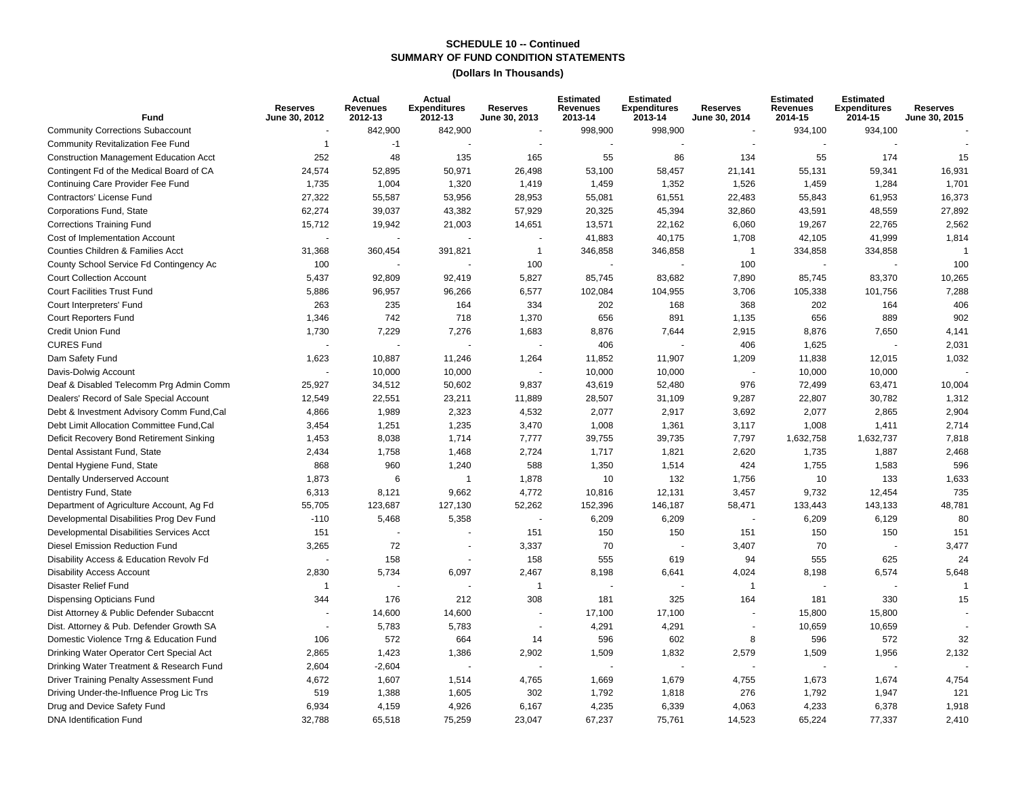| Fund                                          | <b>Reserves</b><br>June 30, 2012 | Actual<br><b>Revenues</b><br>2012-13 | Actual<br><b>Expenditures</b><br>2012-13 | <b>Reserves</b><br>June 30, 2013 | <b>Estimated</b><br><b>Revenues</b><br>2013-14 | <b>Estimated</b><br><b>Expenditures</b><br>2013-14 | Reserves<br>June 30, 2014 | <b>Estimated</b><br><b>Revenues</b><br>2014-15 | <b>Estimated</b><br><b>Expenditures</b><br>2014-15 | <b>Reserves</b><br>June 30, 2015 |
|-----------------------------------------------|----------------------------------|--------------------------------------|------------------------------------------|----------------------------------|------------------------------------------------|----------------------------------------------------|---------------------------|------------------------------------------------|----------------------------------------------------|----------------------------------|
| <b>Community Corrections Subaccount</b>       |                                  | 842,900                              | 842,900                                  |                                  | 998,900                                        | 998,900                                            | ÷,                        | 934,100                                        | 934,100                                            |                                  |
| <b>Community Revitalization Fee Fund</b>      | -1                               | $-1$                                 |                                          |                                  |                                                |                                                    |                           |                                                |                                                    |                                  |
| <b>Construction Management Education Acct</b> | 252                              | 48                                   | 135                                      | 165                              | 55                                             | 86                                                 | 134                       | 55                                             | 174                                                | 15                               |
| Contingent Fd of the Medical Board of CA      | 24,574                           | 52,895                               | 50,971                                   | 26,498                           | 53,100                                         | 58,457                                             | 21,141                    | 55,131                                         | 59,341                                             | 16,931                           |
| Continuing Care Provider Fee Fund             | 1,735                            | 1,004                                | 1,320                                    | 1,419                            | 1,459                                          | 1,352                                              | 1,526                     | 1,459                                          | 1,284                                              | 1,701                            |
| Contractors' License Fund                     | 27,322                           | 55,587                               | 53,956                                   | 28,953                           | 55,081                                         | 61,551                                             | 22,483                    | 55,843                                         | 61,953                                             | 16,373                           |
| Corporations Fund, State                      | 62,274                           | 39,037                               | 43,382                                   | 57,929                           | 20,325                                         | 45,394                                             | 32,860                    | 43,591                                         | 48,559                                             | 27,892                           |
| <b>Corrections Training Fund</b>              | 15,712                           | 19,942                               | 21,003                                   | 14,651                           | 13,571                                         | 22,162                                             | 6,060                     | 19,267                                         | 22,765                                             | 2,562                            |
| Cost of Implementation Account                |                                  |                                      |                                          |                                  | 41,883                                         | 40,175                                             | 1,708                     | 42,105                                         | 41,999                                             | 1,814                            |
| Counties Children & Families Acct             | 31,368                           | 360,454                              | 391,821                                  | $\overline{1}$                   | 346,858                                        | 346,858                                            | $\mathbf{1}$              | 334,858                                        | 334,858                                            | 1                                |
| County School Service Fd Contingency Ac       | 100                              |                                      |                                          | 100                              |                                                |                                                    | 100                       |                                                |                                                    | 100                              |
| <b>Court Collection Account</b>               | 5,437                            | 92,809                               | 92,419                                   | 5,827                            | 85,745                                         | 83,682                                             | 7,890                     | 85,745                                         | 83,370                                             | 10,265                           |
| <b>Court Facilities Trust Fund</b>            | 5,886                            | 96,957                               | 96,266                                   | 6,577                            | 102,084                                        | 104,955                                            | 3,706                     | 105,338                                        | 101,756                                            | 7,288                            |
| Court Interpreters' Fund                      | 263                              | 235                                  | 164                                      | 334                              | 202                                            | 168                                                | 368                       | 202                                            | 164                                                | 406                              |
| <b>Court Reporters Fund</b>                   | 1,346                            | 742                                  | 718                                      | 1,370                            | 656                                            | 891                                                | 1,135                     | 656                                            | 889                                                | 902                              |
| <b>Credit Union Fund</b>                      | 1,730                            | 7,229                                | 7,276                                    | 1,683                            | 8,876                                          | 7,644                                              | 2,915                     | 8,876                                          | 7,650                                              | 4,141                            |
| <b>CURES Fund</b>                             |                                  |                                      |                                          |                                  | 406                                            |                                                    | 406                       | 1,625                                          |                                                    | 2,031                            |
| Dam Safety Fund                               | 1,623                            | 10,887                               | 11,246                                   | 1,264                            | 11,852                                         | 11,907                                             | 1,209                     | 11,838                                         | 12,015                                             | 1,032                            |
| Davis-Dolwig Account                          | $\sim$                           | 10,000                               | 10,000                                   |                                  | 10,000                                         | 10,000                                             | $\overline{\phantom{a}}$  | 10,000                                         | 10,000                                             |                                  |
| Deaf & Disabled Telecomm Prg Admin Comm       | 25,927                           | 34,512                               | 50,602                                   | 9,837                            | 43,619                                         | 52,480                                             | 976                       | 72,499                                         | 63,471                                             | 10,004                           |
| Dealers' Record of Sale Special Account       | 12,549                           | 22,551                               | 23,211                                   | 11,889                           | 28,507                                         | 31,109                                             | 9,287                     | 22,807                                         | 30,782                                             | 1,312                            |
| Debt & Investment Advisory Comm Fund, Cal     | 4,866                            | 1,989                                | 2,323                                    | 4,532                            | 2,077                                          | 2,917                                              | 3,692                     | 2,077                                          | 2,865                                              | 2,904                            |
| Debt Limit Allocation Committee Fund, Cal     | 3,454                            | 1,251                                | 1,235                                    | 3,470                            | 1,008                                          | 1,361                                              | 3,117                     | 1,008                                          | 1,411                                              | 2,714                            |
| Deficit Recovery Bond Retirement Sinking      | 1,453                            | 8,038                                | 1,714                                    | 7,777                            | 39,755                                         | 39,735                                             | 7,797                     | 1,632,758                                      | 1,632,737                                          | 7,818                            |
| Dental Assistant Fund, State                  | 2,434                            | 1,758                                | 1,468                                    | 2,724                            | 1,717                                          | 1,821                                              | 2,620                     | 1,735                                          | 1,887                                              | 2,468                            |
| Dental Hygiene Fund, State                    | 868                              | 960                                  | 1,240                                    | 588                              | 1,350                                          | 1,514                                              | 424                       | 1,755                                          | 1,583                                              | 596                              |
| Dentally Underserved Account                  | 1,873                            | 6                                    | $\overline{1}$                           | 1,878                            | 10                                             | 132                                                | 1,756                     | 10                                             | 133                                                | 1,633                            |
| Dentistry Fund, State                         | 6,313                            | 8,121                                | 9,662                                    | 4,772                            | 10,816                                         | 12,131                                             | 3,457                     | 9,732                                          | 12,454                                             | 735                              |
| Department of Agriculture Account, Ag Fd      | 55,705                           | 123,687                              | 127,130                                  | 52,262                           | 152,396                                        | 146,187                                            | 58,471                    | 133,443                                        | 143,133                                            | 48,781                           |
| Developmental Disabilities Prog Dev Fund      | $-110$                           | 5,468                                | 5,358                                    |                                  | 6,209                                          | 6,209                                              | $\overline{\phantom{a}}$  | 6,209                                          | 6,129                                              | 80                               |
| Developmental Disabilities Services Acct      | 151                              |                                      |                                          | 151                              | 150                                            | 150                                                | 151                       | 150                                            | 150                                                | 151                              |
| Diesel Emission Reduction Fund                | 3,265                            | 72                                   | $\overline{a}$                           | 3,337                            | 70                                             | ÷,                                                 | 3,407                     | 70                                             |                                                    | 3,477                            |
| Disability Access & Education Revolv Fd       |                                  | 158                                  |                                          | 158                              | 555                                            | 619                                                | 94                        | 555                                            | 625                                                | 24                               |
| <b>Disability Access Account</b>              | 2,830                            | 5,734                                | 6,097                                    | 2,467                            | 8,198                                          | 6,641                                              | 4,024                     | 8,198                                          | 6,574                                              | 5,648                            |
| <b>Disaster Relief Fund</b>                   | -1                               |                                      |                                          | $\mathbf{1}$                     |                                                |                                                    | $\mathbf{1}$              |                                                |                                                    |                                  |
| <b>Dispensing Opticians Fund</b>              | 344                              | 176                                  | 212                                      | 308                              | 181                                            | 325                                                | 164                       | 181                                            | 330                                                | 15                               |
| Dist Attorney & Public Defender Subaccnt      |                                  | 14,600                               | 14,600                                   |                                  | 17,100                                         | 17,100                                             | ÷,                        | 15,800                                         | 15,800                                             |                                  |
| Dist. Attorney & Pub. Defender Growth SA      |                                  | 5,783                                | 5,783                                    |                                  | 4,291                                          | 4,291                                              | L,                        | 10,659                                         | 10,659                                             |                                  |
| Domestic Violence Trng & Education Fund       | 106                              | 572                                  | 664                                      | 14                               | 596                                            | 602                                                | 8                         | 596                                            | 572                                                | 32                               |
| Drinking Water Operator Cert Special Act      | 2,865                            | 1,423                                | 1,386                                    | 2,902                            | 1,509                                          | 1,832                                              | 2,579                     | 1,509                                          | 1,956                                              | 2,132                            |
| Drinking Water Treatment & Research Fund      | 2,604                            | $-2,604$                             |                                          |                                  |                                                |                                                    |                           | $\overline{\phantom{a}}$                       |                                                    |                                  |
| Driver Training Penalty Assessment Fund       | 4,672                            | 1,607                                | 1,514                                    | 4,765                            | 1,669                                          | 1,679                                              | 4,755                     | 1,673                                          | 1,674                                              | 4,754                            |
| Driving Under-the-Influence Prog Lic Trs      | 519                              | 1,388                                | 1,605                                    | 302                              | 1,792                                          | 1,818                                              | 276                       | 1,792                                          | 1,947                                              | 121                              |
| Drug and Device Safety Fund                   | 6,934                            | 4,159                                | 4,926                                    | 6,167                            | 4,235                                          | 6,339                                              | 4,063                     | 4,233                                          | 6,378                                              | 1,918                            |
| <b>DNA Identification Fund</b>                | 32,788                           | 65,518                               | 75,259                                   | 23,047                           | 67,237                                         | 75,761                                             | 14,523                    | 65,224                                         | 77,337                                             | 2,410                            |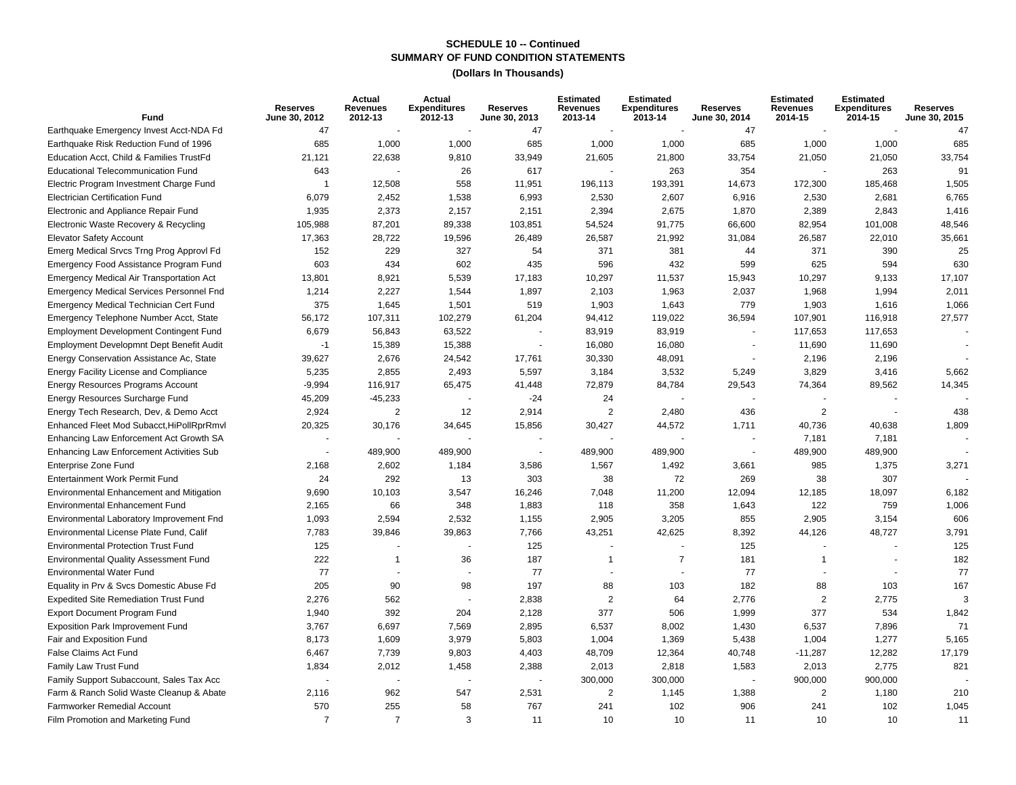| Fund                                            | <b>Reserves</b><br>June 30, 2012 | Actual<br><b>Revenues</b><br>2012-13 | Actual<br><b>Expenditures</b><br>2012-13 | <b>Reserves</b><br>June 30, 2013 | <b>Estimated</b><br>Revenues<br>2013-14 | <b>Estimated</b><br><b>Expenditures</b><br>2013-14 | <b>Reserves</b><br>June 30, 2014 | <b>Estimated</b><br><b>Revenues</b><br>2014-15 | <b>Estimated</b><br><b>Expenditures</b><br>2014-15 | <b>Reserves</b><br>June 30, 2015 |
|-------------------------------------------------|----------------------------------|--------------------------------------|------------------------------------------|----------------------------------|-----------------------------------------|----------------------------------------------------|----------------------------------|------------------------------------------------|----------------------------------------------------|----------------------------------|
| Earthquake Emergency Invest Acct-NDA Fd         | 47                               |                                      |                                          | 47                               |                                         |                                                    | 47                               |                                                |                                                    | 47                               |
| Earthquake Risk Reduction Fund of 1996          | 685                              | 1,000                                | 1,000                                    | 685                              | 1,000                                   | 1,000                                              | 685                              | 1,000                                          | 1,000                                              | 685                              |
| Education Acct, Child & Families TrustFd        | 21,121                           | 22,638                               | 9,810                                    | 33,949                           | 21,605                                  | 21,800                                             | 33,754                           | 21,050                                         | 21,050                                             | 33,754                           |
| <b>Educational Telecommunication Fund</b>       | 643                              |                                      | 26                                       | 617                              |                                         | 263                                                | 354                              |                                                | 263                                                | 91                               |
| Electric Program Investment Charge Fund         | $\overline{1}$                   | 12,508                               | 558                                      | 11,951                           | 196,113                                 | 193,391                                            | 14,673                           | 172,300                                        | 185,468                                            | 1,505                            |
| <b>Electrician Certification Fund</b>           | 6,079                            | 2,452                                | 1,538                                    | 6,993                            | 2,530                                   | 2,607                                              | 6,916                            | 2,530                                          | 2,681                                              | 6,765                            |
| Electronic and Appliance Repair Fund            | 1,935                            | 2,373                                | 2,157                                    | 2,151                            | 2,394                                   | 2,675                                              | 1,870                            | 2,389                                          | 2,843                                              | 1,416                            |
| Electronic Waste Recovery & Recycling           | 105,988                          | 87,201                               | 89,338                                   | 103,851                          | 54,524                                  | 91,775                                             | 66,600                           | 82,954                                         | 101,008                                            | 48,546                           |
| <b>Elevator Safety Account</b>                  | 17,363                           | 28,722                               | 19,596                                   | 26,489                           | 26,587                                  | 21,992                                             | 31,084                           | 26,587                                         | 22,010                                             | 35,661                           |
| Emerg Medical Srvcs Trng Prog Approvl Fd        | 152                              | 229                                  | 327                                      | 54                               | 371                                     | 381                                                | 44                               | 371                                            | 390                                                | 25                               |
| Emergency Food Assistance Program Fund          | 603                              | 434                                  | 602                                      | 435                              | 596                                     | 432                                                | 599                              | 625                                            | 594                                                | 630                              |
| Emergency Medical Air Transportation Act        | 13,801                           | 8,921                                | 5,539                                    | 17,183                           | 10,297                                  | 11,537                                             | 15,943                           | 10,297                                         | 9,133                                              | 17,107                           |
| <b>Emergency Medical Services Personnel Fnd</b> | 1,214                            | 2,227                                | 1,544                                    | 1,897                            | 2,103                                   | 1,963                                              | 2,037                            | 1,968                                          | 1,994                                              | 2,011                            |
| Emergency Medical Technician Cert Fund          | 375                              | 1,645                                | 1,501                                    | 519                              | 1,903                                   | 1,643                                              | 779                              | 1,903                                          | 1,616                                              | 1,066                            |
| Emergency Telephone Number Acct, State          | 56,172                           | 107,311                              | 102,279                                  | 61,204                           | 94,412                                  | 119,022                                            | 36,594                           | 107,901                                        | 116,918                                            | 27,577                           |
| <b>Employment Development Contingent Fund</b>   | 6,679                            | 56,843                               | 63,522                                   |                                  | 83,919                                  | 83,919                                             |                                  | 117,653                                        | 117,653                                            |                                  |
| Employment Developmnt Dept Benefit Audit        | $-1$                             | 15,389                               | 15,388                                   | $\overline{\phantom{a}}$         | 16,080                                  | 16,080                                             | $\sim$                           | 11,690                                         | 11,690                                             |                                  |
| Energy Conservation Assistance Ac, State        | 39,627                           | 2,676                                | 24,542                                   | 17,761                           | 30,330                                  | 48,091                                             | $\overline{a}$                   | 2,196                                          | 2,196                                              |                                  |
| Energy Facility License and Compliance          | 5,235                            | 2,855                                | 2,493                                    | 5,597                            | 3,184                                   | 3,532                                              | 5,249                            | 3,829                                          | 3,416                                              | 5,662                            |
| <b>Energy Resources Programs Account</b>        | $-9,994$                         | 116,917                              | 65,475                                   | 41,448                           | 72,879                                  | 84,784                                             | 29,543                           | 74,364                                         | 89,562                                             | 14,345                           |
| Energy Resources Surcharge Fund                 | 45,209                           | $-45,233$                            |                                          | $-24$                            | 24                                      |                                                    |                                  |                                                |                                                    |                                  |
| Energy Tech Research, Dev, & Demo Acct          | 2,924                            | $\overline{2}$                       | 12                                       | 2,914                            | 2                                       | 2,480                                              | 436                              | 2                                              |                                                    | 438                              |
| Enhanced Fleet Mod Subacct, HiPollRprRmvl       | 20,325                           | 30,176                               | 34,645                                   | 15,856                           | 30,427                                  | 44,572                                             | 1,711                            | 40,736                                         | 40,638                                             | 1,809                            |
| Enhancing Law Enforcement Act Growth SA         |                                  |                                      |                                          |                                  |                                         |                                                    |                                  | 7,181                                          | 7,181                                              |                                  |
| Enhancing Law Enforcement Activities Sub        |                                  | 489,900                              | 489,900                                  |                                  | 489,900                                 | 489,900                                            |                                  | 489,900                                        | 489,900                                            |                                  |
| Enterprise Zone Fund                            | 2,168                            | 2,602                                | 1,184                                    | 3,586                            | 1,567                                   | 1,492                                              | 3,661                            | 985                                            | 1,375                                              | 3,271                            |
| Entertainment Work Permit Fund                  | 24                               | 292                                  | 13                                       | 303                              | 38                                      | 72                                                 | 269                              | 38                                             | 307                                                |                                  |
| Environmental Enhancement and Mitigation        | 9,690                            | 10,103                               | 3,547                                    | 16,246                           | 7,048                                   | 11,200                                             | 12,094                           | 12,185                                         | 18,097                                             | 6,182                            |
| <b>Environmental Enhancement Fund</b>           | 2,165                            | 66                                   | 348                                      | 1,883                            | 118                                     | 358                                                | 1,643                            | 122                                            | 759                                                | 1,006                            |
| Environmental Laboratory Improvement Fnd        | 1,093                            | 2,594                                | 2,532                                    | 1,155                            | 2,905                                   | 3,205                                              | 855                              | 2,905                                          | 3,154                                              | 606                              |
| Environmental License Plate Fund, Calif         | 7,783                            | 39,846                               | 39,863                                   | 7,766                            | 43,251                                  | 42,625                                             | 8,392                            | 44,126                                         | 48,727                                             | 3,791                            |
| <b>Environmental Protection Trust Fund</b>      | 125                              |                                      |                                          | 125                              |                                         |                                                    | 125                              |                                                |                                                    | 125                              |
| <b>Environmental Quality Assessment Fund</b>    | 222                              | $\mathbf{1}$                         | 36                                       | 187                              | -1                                      | $\overline{7}$                                     | 181                              | 1                                              |                                                    | 182                              |
| <b>Environmental Water Fund</b>                 | 77                               |                                      | $\overline{\phantom{a}}$                 | 77                               |                                         |                                                    | 77                               |                                                |                                                    | 77                               |
| Equality in Prv & Svcs Domestic Abuse Fd        | 205                              | 90                                   | 98                                       | 197                              | 88                                      | 103                                                | 182                              | 88                                             | 103                                                | 167                              |
| <b>Expedited Site Remediation Trust Fund</b>    | 2,276                            | 562                                  |                                          | 2,838                            | $\overline{2}$                          | 64                                                 | 2,776                            | $\mathbf{2}$                                   | 2,775                                              | 3                                |
| <b>Export Document Program Fund</b>             | 1,940                            | 392                                  | 204                                      | 2,128                            | 377                                     | 506                                                | 1,999                            | 377                                            | 534                                                | 1,842                            |
| <b>Exposition Park Improvement Fund</b>         | 3,767                            | 6,697                                | 7,569                                    | 2,895                            | 6,537                                   | 8,002                                              | 1,430                            | 6,537                                          | 7,896                                              | 71                               |
| Fair and Exposition Fund                        | 8,173                            | 1,609                                | 3,979                                    | 5,803                            | 1,004                                   | 1,369                                              | 5,438                            | 1,004                                          | 1,277                                              | 5,165                            |
| False Claims Act Fund                           | 6,467                            | 7,739                                | 9,803                                    | 4,403                            | 48,709                                  | 12,364                                             | 40,748                           | $-11,287$                                      | 12,282                                             | 17,179                           |
| Family Law Trust Fund                           | 1,834                            | 2,012                                | 1,458                                    | 2,388                            | 2,013                                   | 2,818                                              | 1,583                            | 2,013                                          | 2,775                                              | 821                              |
| Family Support Subaccount, Sales Tax Acc        |                                  |                                      |                                          |                                  | 300,000                                 | 300,000                                            |                                  | 900,000                                        | 900,000                                            |                                  |
| Farm & Ranch Solid Waste Cleanup & Abate        | 2,116                            | 962                                  | 547                                      | 2,531                            | $\overline{2}$                          | 1,145                                              | 1,388                            | $\mathbf{2}$                                   | 1,180                                              | 210                              |
| <b>Farmworker Remedial Account</b>              | 570                              | 255                                  | 58                                       | 767                              | 241                                     | 102                                                | 906                              | 241                                            | 102                                                | 1,045                            |
| Film Promotion and Marketing Fund               | $\overline{7}$                   | $\overline{7}$                       | 3                                        | 11                               | 10                                      | 10                                                 | 11                               | 10                                             | 10                                                 | 11                               |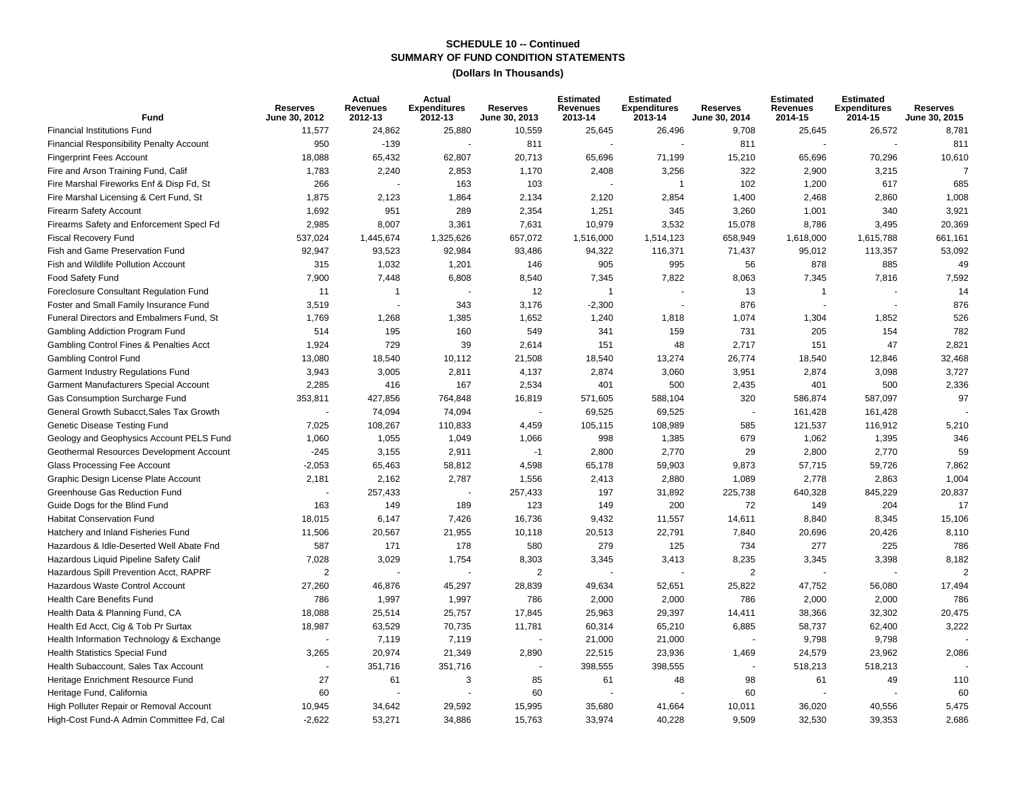| Fund                                            | <b>Reserves</b><br>June 30, 2012 | Actual<br><b>Revenues</b><br>2012-13 | Actual<br><b>Expenditures</b><br>2012-13 | <b>Reserves</b><br>June 30, 2013 | <b>Estimated</b><br><b>Revenues</b><br>2013-14 | <b>Estimated</b><br><b>Expenditures</b><br>2013-14 | <b>Reserves</b><br>June 30, 2014 | <b>Estimated</b><br><b>Revenues</b><br>2014-15 | <b>Estimated</b><br><b>Expenditures</b><br>2014-15 | <b>Reserves</b><br>June 30, 2015 |
|-------------------------------------------------|----------------------------------|--------------------------------------|------------------------------------------|----------------------------------|------------------------------------------------|----------------------------------------------------|----------------------------------|------------------------------------------------|----------------------------------------------------|----------------------------------|
| <b>Financial Institutions Fund</b>              | 11,577                           | 24,862                               | 25,880                                   | 10,559                           | 25,645                                         | 26,496                                             | 9,708                            | 25,645                                         | 26,572                                             | 8,781                            |
| <b>Financial Responsibility Penalty Account</b> | 950                              | $-139$                               |                                          | 811                              |                                                |                                                    | 811                              |                                                |                                                    | 811                              |
| <b>Fingerprint Fees Account</b>                 | 18,088                           | 65,432                               | 62,807                                   | 20,713                           | 65,696                                         | 71,199                                             | 15,210                           | 65,696                                         | 70,296                                             | 10,610                           |
| Fire and Arson Training Fund, Calif             | 1,783                            | 2,240                                | 2,853                                    | 1,170                            | 2,408                                          | 3,256                                              | 322                              | 2,900                                          | 3,215                                              | $\overline{7}$                   |
| Fire Marshal Fireworks Enf & Disp Fd, St        | 266                              |                                      | 163                                      | 103                              |                                                | $\mathbf{1}$                                       | 102                              | 1,200                                          | 617                                                | 685                              |
| Fire Marshal Licensing & Cert Fund, St          | 1,875                            | 2,123                                | 1,864                                    | 2,134                            | 2,120                                          | 2,854                                              | 1,400                            | 2,468                                          | 2,860                                              | 1,008                            |
| Firearm Safety Account                          | 1,692                            | 951                                  | 289                                      | 2,354                            | 1,251                                          | 345                                                | 3,260                            | 1,001                                          | 340                                                | 3,921                            |
| Firearms Safety and Enforcement SpecI Fd        | 2,985                            | 8,007                                | 3,361                                    | 7,631                            | 10,979                                         | 3,532                                              | 15,078                           | 8,786                                          | 3,495                                              | 20,369                           |
| <b>Fiscal Recovery Fund</b>                     | 537,024                          | 1,445,674                            | 1,325,626                                | 657,072                          | 1,516,000                                      | 1,514,123                                          | 658,949                          | 1,618,000                                      | 1,615,788                                          | 661,161                          |
| Fish and Game Preservation Fund                 | 92,947                           | 93,523                               | 92,984                                   | 93,486                           | 94,322                                         | 116,371                                            | 71,437                           | 95,012                                         | 113,357                                            | 53,092                           |
| Fish and Wildlife Pollution Account             | 315                              | 1,032                                | 1,201                                    | 146                              | 905                                            | 995                                                | 56                               | 878                                            | 885                                                | 49                               |
| Food Safety Fund                                | 7,900                            | 7,448                                | 6,808                                    | 8,540                            | 7,345                                          | 7,822                                              | 8,063                            | 7,345                                          | 7,816                                              | 7,592                            |
| Foreclosure Consultant Regulation Fund          | 11                               | $\overline{1}$                       |                                          | 12                               | $\overline{1}$                                 | $\sim$                                             | 13                               | $\mathbf{1}$                                   |                                                    | 14                               |
| Foster and Small Family Insurance Fund          | 3,519                            |                                      | 343                                      | 3,176                            | $-2,300$                                       | $\overline{\phantom{a}}$                           | 876                              | $\sim$                                         |                                                    | 876                              |
| Funeral Directors and Embalmers Fund, St        | 1,769                            | 1,268                                | 1,385                                    | 1,652                            | 1,240                                          | 1,818                                              | 1,074                            | 1,304                                          | 1,852                                              | 526                              |
| Gambling Addiction Program Fund                 | 514                              | 195                                  | 160                                      | 549                              | 341                                            | 159                                                | 731                              | 205                                            | 154                                                | 782                              |
| Gambling Control Fines & Penalties Acct         | 1,924                            | 729                                  | 39                                       | 2,614                            | 151                                            | 48                                                 | 2,717                            | 151                                            | 47                                                 | 2,821                            |
| <b>Gambling Control Fund</b>                    | 13,080                           | 18,540                               | 10,112                                   | 21,508                           | 18,540                                         | 13,274                                             | 26,774                           | 18,540                                         | 12,846                                             | 32,468                           |
| Garment Industry Regulations Fund               | 3,943                            | 3,005                                | 2,811                                    | 4,137                            | 2,874                                          | 3,060                                              | 3,951                            | 2,874                                          | 3,098                                              | 3,727                            |
| Garment Manufacturers Special Account           | 2,285                            | 416                                  | 167                                      | 2,534                            | 401                                            | 500                                                | 2,435                            | 401                                            | 500                                                | 2,336                            |
| Gas Consumption Surcharge Fund                  | 353,811                          | 427,856                              | 764,848                                  | 16,819                           | 571,605                                        | 588,104                                            | 320                              | 586,874                                        | 587,097                                            | 97                               |
| General Growth Subacct, Sales Tax Growth        |                                  | 74,094                               | 74,094                                   |                                  | 69,525                                         | 69,525                                             | $\blacksquare$                   | 161,428                                        | 161,428                                            |                                  |
| Genetic Disease Testing Fund                    | 7,025                            | 108,267                              | 110,833                                  | 4,459                            | 105,115                                        | 108,989                                            | 585                              | 121,537                                        | 116,912                                            | 5,210                            |
| Geology and Geophysics Account PELS Fund        | 1,060                            | 1,055                                | 1,049                                    | 1,066                            | 998                                            | 1,385                                              | 679                              | 1,062                                          | 1,395                                              | 346                              |
| Geothermal Resources Development Account        | $-245$                           | 3,155                                | 2,911                                    | $-1$                             | 2,800                                          | 2,770                                              | 29                               | 2,800                                          | 2,770                                              | 59                               |
| Glass Processing Fee Account                    | $-2,053$                         | 65,463                               | 58,812                                   | 4,598                            | 65,178                                         | 59,903                                             | 9,873                            | 57,715                                         | 59,726                                             | 7,862                            |
| Graphic Design License Plate Account            | 2,181                            | 2,162                                | 2,787                                    | 1,556                            | 2,413                                          | 2,880                                              | 1,089                            | 2,778                                          | 2,863                                              | 1,004                            |
| Greenhouse Gas Reduction Fund                   |                                  | 257,433                              |                                          | 257,433                          | 197                                            | 31,892                                             | 225,738                          | 640,328                                        | 845,229                                            | 20,837                           |
| Guide Dogs for the Blind Fund                   | 163                              | 149                                  | 189                                      | 123                              | 149                                            | 200                                                | 72                               | 149                                            | 204                                                | 17                               |
| <b>Habitat Conservation Fund</b>                | 18,015                           | 6,147                                | 7,426                                    | 16,736                           | 9,432                                          | 11,557                                             | 14,611                           | 8,840                                          | 8,345                                              | 15,106                           |
| Hatchery and Inland Fisheries Fund              | 11,506                           | 20,567                               | 21,955                                   | 10,118                           | 20,513                                         | 22,791                                             | 7,840                            | 20,696                                         | 20,426                                             | 8,110                            |
| Hazardous & Idle-Deserted Well Abate Fnd        | 587                              | 171                                  | 178                                      | 580                              | 279                                            | 125                                                | 734                              | 277                                            | 225                                                | 786                              |
| Hazardous Liquid Pipeline Safety Calif          | 7,028                            | 3,029                                | 1,754                                    | 8,303                            | 3,345                                          | 3,413                                              | 8,235                            | 3,345                                          | 3,398                                              | 8,182                            |
| Hazardous Spill Prevention Acct, RAPRF          | 2                                |                                      |                                          | $\overline{2}$                   |                                                |                                                    | 2                                | $\sim$                                         |                                                    |                                  |
| Hazardous Waste Control Account                 | 27,260                           | 46,876                               | 45,297                                   | 28,839                           | 49,634                                         | 52,651                                             | 25,822                           | 47,752                                         | 56,080                                             | 17,494                           |
| Health Care Benefits Fund                       | 786                              | 1,997                                | 1,997                                    | 786                              | 2,000                                          | 2,000                                              | 786                              | 2,000                                          | 2,000                                              | 786                              |
| Health Data & Planning Fund, CA                 | 18,088                           | 25,514                               | 25,757                                   | 17,845                           | 25,963                                         | 29,397                                             | 14,411                           | 38,366                                         | 32,302                                             | 20,475                           |
| Health Ed Acct, Cig & Tob Pr Surtax             | 18,987                           | 63,529                               | 70,735                                   | 11,781                           | 60,314                                         | 65,210                                             | 6,885                            | 58,737                                         | 62,400                                             | 3,222                            |
| Health Information Technology & Exchange        |                                  | 7,119                                | 7,119                                    | ÷,                               | 21,000                                         | 21,000                                             | $\blacksquare$                   | 9,798                                          | 9,798                                              |                                  |
| Health Statistics Special Fund                  | 3,265                            | 20,974                               | 21,349                                   | 2,890                            | 22,515                                         | 23,936                                             | 1,469                            | 24,579                                         | 23,962                                             | 2,086                            |
| Health Subaccount. Sales Tax Account            |                                  | 351,716                              | 351,716                                  |                                  | 398,555                                        | 398,555                                            | $\blacksquare$                   | 518,213                                        | 518,213                                            |                                  |
| Heritage Enrichment Resource Fund               | 27                               | 61                                   | 3                                        | 85                               | 61                                             | 48                                                 | 98                               | 61                                             | 49                                                 | 110                              |
| Heritage Fund, California                       | 60                               |                                      |                                          | 60                               |                                                |                                                    | 60                               |                                                |                                                    | 60                               |
| High Polluter Repair or Removal Account         | 10,945                           | 34,642                               | 29,592                                   | 15,995                           | 35,680                                         | 41,664                                             | 10,011                           | 36,020                                         | 40,556                                             | 5,475                            |
| High-Cost Fund-A Admin Committee Fd, Cal        | $-2,622$                         | 53,271                               | 34,886                                   | 15,763                           | 33,974                                         | 40,228                                             | 9,509                            | 32,530                                         | 39,353                                             | 2,686                            |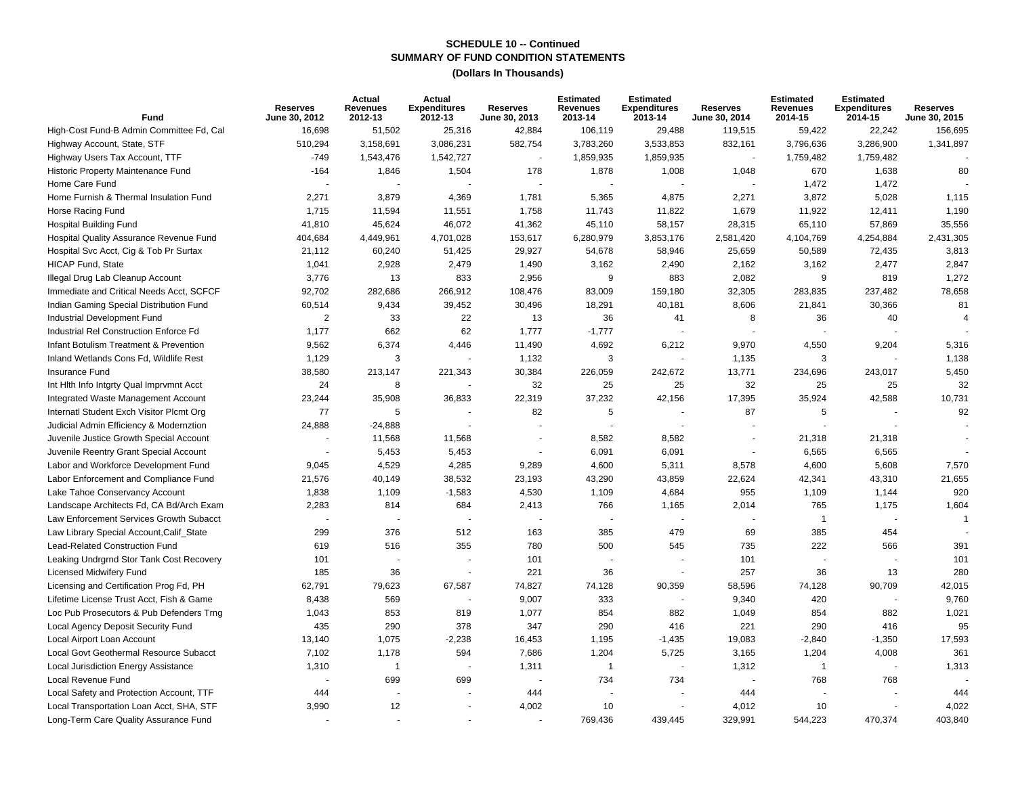| Fund                                     | <b>Reserves</b><br>June 30, 2012 | Actual<br><b>Revenues</b><br>2012-13 | Actual<br><b>Expenditures</b><br>2012-13 | <b>Reserves</b><br>June 30, 2013 | <b>Estimated</b><br>Revenues<br>2013-14 | <b>Estimated</b><br><b>Expenditures</b><br>2013-14 | <b>Reserves</b><br>June 30, 2014 | <b>Estimated</b><br><b>Revenues</b><br>2014-15 | <b>Estimated</b><br><b>Expenditures</b><br>2014-15 | <b>Reserves</b><br>June 30, 2015 |
|------------------------------------------|----------------------------------|--------------------------------------|------------------------------------------|----------------------------------|-----------------------------------------|----------------------------------------------------|----------------------------------|------------------------------------------------|----------------------------------------------------|----------------------------------|
| High-Cost Fund-B Admin Committee Fd, Cal | 16.698                           | 51,502                               | 25,316                                   | 42,884                           | 106,119                                 | 29,488                                             | 119,515                          | 59.422                                         | 22.242                                             | 156,695                          |
| Highway Account, State, STF              | 510,294                          | 3,158,691                            | 3,086,231                                | 582,754                          | 3,783,260                               | 3,533,853                                          | 832,161                          | 3,796,636                                      | 3,286,900                                          | 1,341,897                        |
| Highway Users Tax Account, TTF           | $-749$                           | 1,543,476                            | 1,542,727                                | $\sim$                           | 1,859,935                               | 1,859,935                                          |                                  | 1,759,482                                      | 1,759,482                                          |                                  |
| Historic Property Maintenance Fund       | $-164$                           | 1,846                                | 1,504                                    | 178                              | 1,878                                   | 1,008                                              | 1,048                            | 670                                            | 1,638                                              | 80                               |
| Home Care Fund                           |                                  |                                      |                                          |                                  |                                         |                                                    |                                  | 1,472                                          | 1,472                                              |                                  |
| Home Furnish & Thermal Insulation Fund   | 2,271                            | 3,879                                | 4,369                                    | 1,781                            | 5,365                                   | 4,875                                              | 2,271                            | 3,872                                          | 5,028                                              | 1,115                            |
| Horse Racing Fund                        | 1,715                            | 11,594                               | 11,551                                   | 1,758                            | 11,743                                  | 11,822                                             | 1,679                            | 11,922                                         | 12,411                                             | 1,190                            |
| <b>Hospital Building Fund</b>            | 41,810                           | 45,624                               | 46,072                                   | 41,362                           | 45,110                                  | 58,157                                             | 28,315                           | 65,110                                         | 57,869                                             | 35,556                           |
| Hospital Quality Assurance Revenue Fund  | 404,684                          | 4,449,961                            | 4,701,028                                | 153,617                          | 6,280,979                               | 3,853,176                                          | 2,581,420                        | 4,104,769                                      | 4,254,884                                          | 2,431,305                        |
| Hospital Svc Acct, Cig & Tob Pr Surtax   | 21,112                           | 60,240                               | 51,425                                   | 29,927                           | 54,678                                  | 58,946                                             | 25,659                           | 50,589                                         | 72,435                                             | 3,813                            |
| <b>HICAP Fund, State</b>                 | 1,041                            | 2,928                                | 2,479                                    | 1,490                            | 3,162                                   | 2,490                                              | 2,162                            | 3,162                                          | 2,477                                              | 2,847                            |
| Illegal Drug Lab Cleanup Account         | 3,776                            | 13                                   | 833                                      | 2,956                            | 9                                       | 883                                                | 2,082                            | 9                                              | 819                                                | 1,272                            |
| Immediate and Critical Needs Acct, SCFCF | 92,702                           | 282,686                              | 266,912                                  | 108,476                          | 83,009                                  | 159,180                                            | 32,305                           | 283,835                                        | 237,482                                            | 78,658                           |
| Indian Gaming Special Distribution Fund  | 60,514                           | 9,434                                | 39,452                                   | 30,496                           | 18,291                                  | 40,181                                             | 8,606                            | 21,841                                         | 30,366                                             | 81                               |
| Industrial Development Fund              | $\overline{2}$                   | 33                                   | 22                                       | 13                               | 36                                      | 41                                                 | 8                                | 36                                             | 40                                                 | $\overline{4}$                   |
| Industrial Rel Construction Enforce Fd   | 1,177                            | 662                                  | 62                                       | 1,777                            | $-1,777$                                |                                                    |                                  |                                                |                                                    |                                  |
| Infant Botulism Treatment & Prevention   | 9,562                            | 6,374                                | 4,446                                    | 11,490                           | 4,692                                   | 6,212                                              | 9,970                            | 4,550                                          | 9,204                                              | 5,316                            |
| Inland Wetlands Cons Fd, Wildlife Rest   | 1,129                            | 3                                    |                                          | 1,132                            | 3                                       |                                                    | 1,135                            | 3                                              |                                                    | 1,138                            |
| <b>Insurance Fund</b>                    | 38,580                           | 213,147                              | 221,343                                  | 30,384                           | 226,059                                 | 242,672                                            | 13,771                           | 234,696                                        | 243,017                                            | 5,450                            |
| Int Hith Info Intgrty Qual Imprymnt Acct | 24                               | 8                                    |                                          | 32                               | 25                                      | 25                                                 | 32                               | 25                                             | 25                                                 | 32                               |
| Integrated Waste Management Account      | 23,244                           | 35,908                               | 36,833                                   | 22,319                           | 37,232                                  | 42,156                                             | 17,395                           | 35,924                                         | 42,588                                             | 10,731                           |
| Internatl Student Exch Visitor Plcmt Org | 77                               | 5                                    |                                          | 82                               | 5                                       |                                                    | 87                               | 5                                              |                                                    | 92                               |
| Judicial Admin Efficiency & Modernztion  | 24,888                           | $-24,888$                            |                                          |                                  |                                         |                                                    |                                  |                                                |                                                    |                                  |
| Juvenile Justice Growth Special Account  |                                  | 11,568                               | 11,568                                   |                                  | 8,582                                   | 8,582                                              |                                  | 21,318                                         | 21,318                                             |                                  |
| Juvenile Reentry Grant Special Account   |                                  | 5,453                                | 5,453                                    |                                  | 6,091                                   | 6,091                                              | $\sim$                           | 6,565                                          | 6,565                                              |                                  |
| Labor and Workforce Development Fund     | 9,045                            | 4,529                                | 4,285                                    | 9,289                            | 4,600                                   | 5,311                                              | 8,578                            | 4,600                                          | 5,608                                              | 7,570                            |
| Labor Enforcement and Compliance Fund    | 21,576                           | 40,149                               | 38,532                                   | 23,193                           | 43,290                                  | 43,859                                             | 22,624                           | 42,341                                         | 43,310                                             | 21,655                           |
| Lake Tahoe Conservancy Account           | 1,838                            | 1,109                                | $-1,583$                                 | 4,530                            | 1,109                                   | 4,684                                              | 955                              | 1,109                                          | 1,144                                              | 920                              |
| Landscape Architects Fd, CA Bd/Arch Exam | 2,283                            | 814                                  | 684                                      | 2,413                            | 766                                     | 1,165                                              | 2,014                            | 765                                            | 1,175                                              | 1,604                            |
| Law Enforcement Services Growth Subacct  |                                  |                                      |                                          |                                  |                                         |                                                    |                                  | $\overline{1}$                                 |                                                    | $\mathbf 1$                      |
| Law Library Special Account, Calif_State | 299                              | 376                                  | 512                                      | 163                              | 385                                     | 479                                                | 69                               | 385                                            | 454                                                |                                  |
| Lead-Related Construction Fund           | 619                              | 516                                  | 355                                      | 780                              | 500                                     | 545                                                | 735                              | 222                                            | 566                                                | 391                              |
| Leaking Undrgrnd Stor Tank Cost Recovery | 101                              |                                      |                                          | 101                              |                                         |                                                    | 101                              |                                                |                                                    | 101                              |
| <b>Licensed Midwifery Fund</b>           | 185                              | 36                                   |                                          | 221                              | 36                                      |                                                    | 257                              | 36                                             | 13                                                 | 280                              |
| Licensing and Certification Prog Fd, PH  | 62,791                           | 79,623                               | 67,587                                   | 74,827                           | 74,128                                  | 90,359                                             | 58,596                           | 74,128                                         | 90,709                                             | 42,015                           |
| Lifetime License Trust Acct, Fish & Game | 8,438                            | 569                                  |                                          | 9,007                            | 333                                     |                                                    | 9,340                            | 420                                            |                                                    | 9,760                            |
| Loc Pub Prosecutors & Pub Defenders Trng | 1,043                            | 853                                  | 819                                      | 1,077                            | 854                                     | 882                                                | 1,049                            | 854                                            | 882                                                | 1,021                            |
| Local Agency Deposit Security Fund       | 435                              | 290                                  | 378                                      | 347                              | 290                                     | 416                                                | 221                              | 290                                            | 416                                                | 95                               |
| Local Airport Loan Account               | 13,140                           | 1,075                                | $-2,238$                                 | 16,453                           | 1,195                                   | $-1,435$                                           | 19,083                           | $-2,840$                                       | $-1,350$                                           | 17,593                           |
| Local Govt Geothermal Resource Subacct   | 7,102                            | 1,178                                | 594                                      | 7,686                            | 1,204                                   | 5,725                                              | 3,165                            | 1,204                                          | 4,008                                              | 361                              |
| Local Jurisdiction Energy Assistance     | 1,310                            | $\mathbf{1}$                         |                                          | 1,311                            | $\overline{1}$                          |                                                    | 1,312                            | $\overline{1}$                                 |                                                    | 1,313                            |
| Local Revenue Fund                       |                                  | 699                                  | 699                                      |                                  | 734                                     | 734                                                |                                  | 768                                            | 768                                                |                                  |
| Local Safety and Protection Account, TTF | 444                              |                                      |                                          | 444                              |                                         |                                                    | 444                              |                                                |                                                    | 444                              |
| Local Transportation Loan Acct, SHA, STF | 3,990                            | 12                                   |                                          | 4,002                            | 10                                      |                                                    | 4,012                            | 10                                             |                                                    | 4,022                            |
| Long-Term Care Quality Assurance Fund    |                                  |                                      |                                          |                                  | 769,436                                 | 439,445                                            | 329,991                          | 544,223                                        | 470,374                                            | 403,840                          |
|                                          |                                  |                                      |                                          |                                  |                                         |                                                    |                                  |                                                |                                                    |                                  |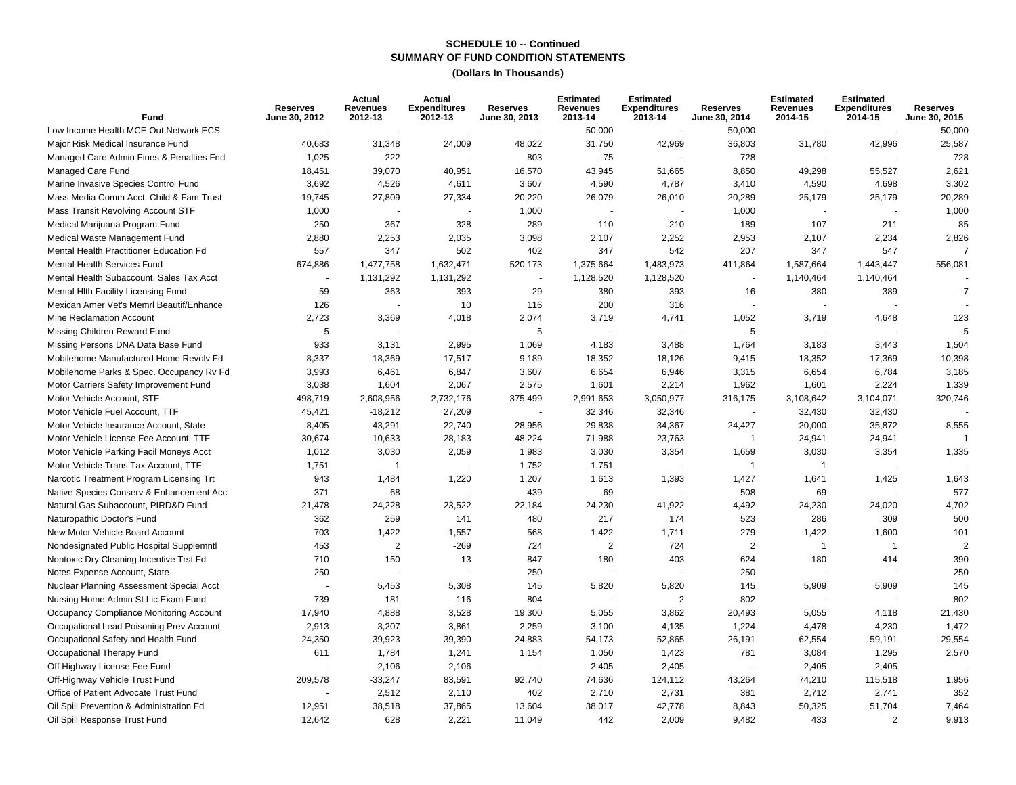| Fund                                     | <b>Reserves</b><br>June 30, 2012 | Actual<br>Revenues<br>2012-13 | Actual<br><b>Expenditures</b><br>2012-13 | <b>Reserves</b><br>June 30, 2013 | <b>Estimated</b><br><b>Revenues</b><br>2013-14 | <b>Estimated</b><br><b>Expenditures</b><br>2013-14 | <b>Reserves</b><br>June 30, 2014 | <b>Estimated</b><br><b>Revenues</b><br>2014-15 | <b>Estimated</b><br><b>Expenditures</b><br>2014-15 | <b>Reserves</b><br>June 30, 2015 |
|------------------------------------------|----------------------------------|-------------------------------|------------------------------------------|----------------------------------|------------------------------------------------|----------------------------------------------------|----------------------------------|------------------------------------------------|----------------------------------------------------|----------------------------------|
| Low Income Health MCE Out Network ECS    |                                  |                               |                                          | $\sim$                           | 50,000                                         |                                                    | 50,000                           |                                                |                                                    | 50,000                           |
| Major Risk Medical Insurance Fund        | 40,683                           | 31,348                        | 24,009                                   | 48,022                           | 31,750                                         | 42,969                                             | 36,803                           | 31,780                                         | 42,996                                             | 25,587                           |
| Managed Care Admin Fines & Penalties Fnd | 1,025                            | $-222$                        |                                          | 803                              | $-75$                                          |                                                    | 728                              |                                                |                                                    | 728                              |
| Managed Care Fund                        | 18,451                           | 39,070                        | 40,951                                   | 16,570                           | 43,945                                         | 51,665                                             | 8,850                            | 49,298                                         | 55,527                                             | 2,621                            |
| Marine Invasive Species Control Fund     | 3,692                            | 4,526                         | 4,611                                    | 3,607                            | 4,590                                          | 4,787                                              | 3,410                            | 4,590                                          | 4,698                                              | 3,302                            |
| Mass Media Comm Acct, Child & Fam Trust  | 19,745                           | 27,809                        | 27,334                                   | 20,220                           | 26,079                                         | 26,010                                             | 20,289                           | 25,179                                         | 25,179                                             | 20,289                           |
| Mass Transit Revolving Account STF       | 1,000                            |                               |                                          | 1,000                            |                                                |                                                    | 1,000                            |                                                |                                                    | 1,000                            |
| Medical Marijuana Program Fund           | 250                              | 367                           | 328                                      | 289                              | 110                                            | 210                                                | 189                              | 107                                            | 211                                                | 85                               |
| Medical Waste Management Fund            | 2,880                            | 2,253                         | 2,035                                    | 3,098                            | 2,107                                          | 2,252                                              | 2,953                            | 2,107                                          | 2,234                                              | 2,826                            |
| Mental Health Practitioner Education Fd  | 557                              | 347                           | 502                                      | 402                              | 347                                            | 542                                                | 207                              | 347                                            | 547                                                | 7                                |
| <b>Mental Health Services Fund</b>       | 674,886                          | 1,477,758                     | 1,632,471                                | 520,173                          | 1,375,664                                      | 1,483,973                                          | 411,864                          | 1,587,664                                      | 1,443,447                                          | 556,081                          |
| Mental Health Subaccount, Sales Tax Acct |                                  | 1,131,292                     | 1,131,292                                |                                  | 1,128,520                                      | 1,128,520                                          |                                  | 1,140,464                                      | 1,140,464                                          |                                  |
| Mental Hith Facility Licensing Fund      | 59                               | 363                           | 393                                      | 29                               | 380                                            | 393                                                | 16                               | 380                                            | 389                                                | $\overline{7}$                   |
| Mexican Amer Vet's Memrl Beautif/Enhance | 126                              |                               | 10                                       | 116                              | 200                                            | 316                                                |                                  |                                                |                                                    |                                  |
| Mine Reclamation Account                 | 2,723                            | 3,369                         | 4,018                                    | 2,074                            | 3,719                                          | 4,741                                              | 1,052                            | 3,719                                          | 4,648                                              | 123                              |
| Missing Children Reward Fund             | 5                                |                               |                                          | 5                                |                                                |                                                    | 5                                |                                                |                                                    |                                  |
| Missing Persons DNA Data Base Fund       | 933                              | 3,131                         | 2,995                                    | 1,069                            | 4,183                                          | 3,488                                              | 1,764                            | 3,183                                          | 3,443                                              | 1,504                            |
| Mobilehome Manufactured Home Revolv Fd   | 8,337                            | 18,369                        | 17,517                                   | 9,189                            | 18,352                                         | 18,126                                             | 9,415                            | 18,352                                         | 17,369                                             | 10,398                           |
| Mobilehome Parks & Spec. Occupancy Rv Fd | 3,993                            | 6,461                         | 6,847                                    | 3,607                            | 6,654                                          | 6,946                                              | 3,315                            | 6,654                                          | 6,784                                              | 3,185                            |
| Motor Carriers Safety Improvement Fund   | 3,038                            | 1,604                         | 2,067                                    | 2,575                            | 1,601                                          | 2,214                                              | 1,962                            | 1,601                                          | 2,224                                              | 1,339                            |
| Motor Vehicle Account, STF               | 498,719                          | 2,608,956                     | 2,732,176                                | 375,499                          | 2,991,653                                      | 3,050,977                                          | 316,175                          | 3,108,642                                      | 3,104,071                                          | 320,746                          |
| Motor Vehicle Fuel Account, TTF          | 45,421                           | $-18,212$                     | 27,209                                   |                                  | 32,346                                         | 32,346                                             |                                  | 32,430                                         | 32,430                                             |                                  |
| Motor Vehicle Insurance Account, State   | 8,405                            | 43,291                        | 22,740                                   | 28,956                           | 29,838                                         | 34,367                                             | 24,427                           | 20,000                                         | 35,872                                             | 8,555                            |
| Motor Vehicle License Fee Account, TTF   | $-30,674$                        | 10,633                        | 28,183                                   | $-48,224$                        | 71,988                                         | 23,763                                             | $\overline{1}$                   | 24,941                                         | 24,941                                             | $\overline{1}$                   |
| Motor Vehicle Parking Facil Moneys Acct  | 1,012                            | 3,030                         | 2,059                                    | 1,983                            | 3,030                                          | 3,354                                              | 1,659                            | 3,030                                          | 3,354                                              | 1,335                            |
| Motor Vehicle Trans Tax Account, TTF     | 1,751                            | $\mathbf{1}$                  |                                          | 1,752                            | $-1,751$                                       |                                                    | $\overline{1}$                   | $-1$                                           |                                                    |                                  |
| Narcotic Treatment Program Licensing Trt | 943                              | 1,484                         | 1,220                                    | 1,207                            | 1,613                                          | 1,393                                              | 1,427                            | 1,641                                          | 1,425                                              | 1,643                            |
| Native Species Conserv & Enhancement Acc | 371                              | 68                            |                                          | 439                              | 69                                             |                                                    | 508                              | 69                                             |                                                    | 577                              |
| Natural Gas Subaccount, PIRD&D Fund      | 21,478                           | 24,228                        | 23,522                                   | 22,184                           | 24,230                                         | 41,922                                             | 4,492                            | 24,230                                         | 24,020                                             | 4,702                            |
| Naturopathic Doctor's Fund               | 362                              | 259                           | 141                                      | 480                              | 217                                            | 174                                                | 523                              | 286                                            | 309                                                | 500                              |
| New Motor Vehicle Board Account          | 703                              | 1,422                         | 1,557                                    | 568                              | 1,422                                          | 1,711                                              | 279                              | 1,422                                          | 1,600                                              | 101                              |
| Nondesignated Public Hospital Supplemntl | 453                              | 2                             | $-269$                                   | 724                              | 2                                              | 724                                                | 2                                | $\overline{1}$                                 | $\overline{1}$                                     |                                  |
| Nontoxic Dry Cleaning Incentive Trst Fd  | 710                              | 150                           | 13                                       | 847                              | 180                                            | 403                                                | 624                              | 180                                            | 414                                                | 390                              |
| Notes Expense Account, State             | 250                              |                               |                                          | 250                              |                                                |                                                    | 250                              |                                                |                                                    | 250                              |
| Nuclear Planning Assessment Special Acct |                                  | 5,453                         | 5,308                                    | 145                              | 5,820                                          | 5,820                                              | 145                              | 5,909                                          | 5,909                                              | 145                              |
| Nursing Home Admin St Lic Exam Fund      | 739                              | 181                           | 116                                      | 804                              |                                                | $\sqrt{2}$                                         | 802                              |                                                |                                                    | 802                              |
| Occupancy Compliance Monitoring Account  | 17,940                           | 4,888                         | 3,528                                    | 19,300                           | 5,055                                          | 3,862                                              | 20,493                           | 5,055                                          | 4,118                                              | 21,430                           |
| Occupational Lead Poisoning Prev Account | 2,913                            | 3,207                         | 3,861                                    | 2,259                            | 3,100                                          | 4,135                                              | 1,224                            | 4,478                                          | 4,230                                              | 1,472                            |
| Occupational Safety and Health Fund      | 24,350                           | 39,923                        | 39,390                                   | 24,883                           | 54,173                                         | 52,865                                             | 26,191                           | 62,554                                         | 59,191                                             | 29,554                           |
| Occupational Therapy Fund                | 611                              | 1,784                         | 1,241                                    | 1,154                            | 1,050                                          | 1,423                                              | 781                              | 3,084                                          | 1,295                                              | 2,570                            |
| Off Highway License Fee Fund             |                                  | 2.106                         | 2.106                                    |                                  | 2,405                                          | 2,405                                              |                                  | 2,405                                          | 2,405                                              |                                  |
| Off-Highway Vehicle Trust Fund           | 209,578                          | $-33,247$                     | 83,591                                   | 92,740                           | 74,636                                         | 124,112                                            | 43,264                           | 74,210                                         | 115,518                                            | 1,956                            |
| Office of Patient Advocate Trust Fund    |                                  | 2,512                         | 2,110                                    | 402                              | 2,710                                          | 2,731                                              | 381                              | 2,712                                          | 2,741                                              | 352                              |
| Oil Spill Prevention & Administration Fd | 12,951                           | 38,518                        | 37,865                                   | 13,604                           | 38,017                                         | 42,778                                             | 8,843                            | 50,325                                         | 51,704                                             | 7,464                            |
| Oil Spill Response Trust Fund            | 12,642                           | 628                           | 2,221                                    | 11,049                           | 442                                            | 2,009                                              | 9,482                            | 433                                            | 2                                                  | 9,913                            |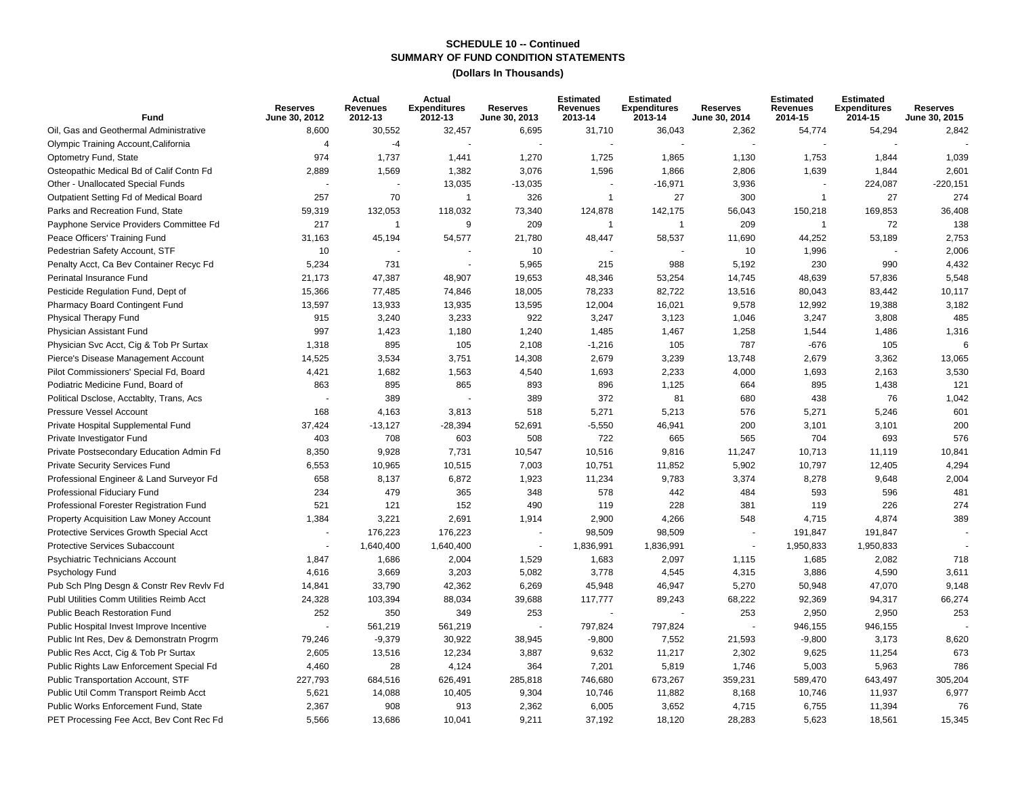| Fund                                     | <b>Reserves</b><br>June 30, 2012 | Actual<br><b>Revenues</b><br>2012-13 | Actual<br><b>Expenditures</b><br>2012-13 | <b>Reserves</b><br>June 30, 2013 | <b>Estimated</b><br>Revenues<br>2013-14 | <b>Estimated</b><br><b>Expenditures</b><br>2013-14 | <b>Reserves</b><br>June 30, 2014 | <b>Estimated</b><br>Revenues<br>2014-15 | <b>Estimated</b><br><b>Expenditures</b><br>2014-15 | <b>Reserves</b><br>June 30, 2015 |
|------------------------------------------|----------------------------------|--------------------------------------|------------------------------------------|----------------------------------|-----------------------------------------|----------------------------------------------------|----------------------------------|-----------------------------------------|----------------------------------------------------|----------------------------------|
| Oil, Gas and Geothermal Administrative   | 8,600                            | 30,552                               | 32,457                                   | 6,695                            | 31,710                                  | 36,043                                             | 2,362                            | 54,774                                  | 54,294                                             | 2,842                            |
| Olympic Training Account, California     | $\overline{4}$                   | $-4$                                 |                                          |                                  |                                         |                                                    | ÷.                               |                                         |                                                    |                                  |
| Optometry Fund, State                    | 974                              | 1,737                                | 1,441                                    | 1,270                            | 1,725                                   | 1,865                                              | 1,130                            | 1,753                                   | 1,844                                              | 1,039                            |
| Osteopathic Medical Bd of Calif Contn Fd | 2,889                            | 1,569                                | 1,382                                    | 3,076                            | 1,596                                   | 1,866                                              | 2,806                            | 1,639                                   | 1,844                                              | 2,601                            |
| Other - Unallocated Special Funds        |                                  |                                      | 13,035                                   | $-13,035$                        |                                         | $-16,971$                                          | 3,936                            | $\overline{\phantom{a}}$                | 224,087                                            | $-220,151$                       |
| Outpatient Setting Fd of Medical Board   | 257                              | 70                                   | $\mathbf{1}$                             | 326                              | $\overline{1}$                          | 27                                                 | 300                              | $\mathbf{1}$                            | 27                                                 | 274                              |
| Parks and Recreation Fund, State         | 59,319                           | 132,053                              | 118,032                                  | 73,340                           | 124,878                                 | 142,175                                            | 56,043                           | 150,218                                 | 169,853                                            | 36,408                           |
| Payphone Service Providers Committee Fd  | 217                              | $\overline{1}$                       | 9                                        | 209                              |                                         | $\overline{1}$                                     | 209                              | $\mathbf{1}$                            | 72                                                 | 138                              |
| Peace Officers' Training Fund            | 31,163                           | 45,194                               | 54,577                                   | 21,780                           | 48,447                                  | 58,537                                             | 11,690                           | 44,252                                  | 53,189                                             | 2,753                            |
| Pedestrian Safety Account, STF           | 10                               |                                      |                                          | 10                               |                                         |                                                    | 10                               | 1,996                                   |                                                    | 2,006                            |
| Penalty Acct, Ca Bev Container Recyc Fd  | 5,234                            | 731                                  |                                          | 5,965                            | 215                                     | 988                                                | 5,192                            | 230                                     | 990                                                | 4,432                            |
| Perinatal Insurance Fund                 | 21,173                           | 47,387                               | 48,907                                   | 19,653                           | 48,346                                  | 53,254                                             | 14,745                           | 48,639                                  | 57,836                                             | 5,548                            |
| Pesticide Regulation Fund, Dept of       | 15,366                           | 77,485                               | 74,846                                   | 18,005                           | 78,233                                  | 82,722                                             | 13,516                           | 80,043                                  | 83,442                                             | 10,117                           |
| Pharmacy Board Contingent Fund           | 13,597                           | 13,933                               | 13,935                                   | 13,595                           | 12,004                                  | 16,021                                             | 9,578                            | 12,992                                  | 19,388                                             | 3,182                            |
| Physical Therapy Fund                    | 915                              | 3,240                                | 3,233                                    | 922                              | 3,247                                   | 3,123                                              | 1,046                            | 3,247                                   | 3,808                                              | 485                              |
| Physician Assistant Fund                 | 997                              | 1,423                                | 1,180                                    | 1,240                            | 1,485                                   | 1,467                                              | 1,258                            | 1,544                                   | 1,486                                              | 1,316                            |
| Physician Svc Acct, Cig & Tob Pr Surtax  | 1,318                            | 895                                  | 105                                      | 2,108                            | $-1,216$                                | 105                                                | 787                              | $-676$                                  | 105                                                | 6                                |
| Pierce's Disease Management Account      | 14,525                           | 3,534                                | 3,751                                    | 14,308                           | 2,679                                   | 3,239                                              | 13,748                           | 2,679                                   | 3,362                                              | 13,065                           |
| Pilot Commissioners' Special Fd, Board   | 4,421                            | 1,682                                | 1,563                                    | 4,540                            | 1,693                                   | 2,233                                              | 4,000                            | 1,693                                   | 2,163                                              | 3,530                            |
| Podiatric Medicine Fund, Board of        | 863                              | 895                                  | 865                                      | 893                              | 896                                     | 1,125                                              | 664                              | 895                                     | 1,438                                              | 121                              |
| Political Dsclose, Acctablty, Trans, Acs |                                  | 389                                  |                                          | 389                              | 372                                     | 81                                                 | 680                              | 438                                     | 76                                                 | 1,042                            |
| Pressure Vessel Account                  | 168                              | 4,163                                | 3,813                                    | 518                              | 5,271                                   | 5,213                                              | 576                              | 5,271                                   | 5,246                                              | 601                              |
| Private Hospital Supplemental Fund       | 37,424                           | $-13,127$                            | $-28,394$                                | 52,691                           | $-5,550$                                | 46,941                                             | 200                              | 3,101                                   | 3,101                                              | 200                              |
| Private Investigator Fund                | 403                              | 708                                  | 603                                      | 508                              | 722                                     | 665                                                | 565                              | 704                                     | 693                                                | 576                              |
| Private Postsecondary Education Admin Fd | 8,350                            | 9,928                                | 7,731                                    | 10,547                           | 10,516                                  | 9,816                                              | 11,247                           | 10,713                                  | 11,119                                             | 10,841                           |
| <b>Private Security Services Fund</b>    | 6,553                            | 10,965                               | 10,515                                   | 7,003                            | 10,751                                  | 11,852                                             | 5,902                            | 10,797                                  | 12,405                                             | 4,294                            |
| Professional Engineer & Land Surveyor Fd | 658                              | 8,137                                | 6,872                                    | 1,923                            | 11,234                                  | 9,783                                              | 3,374                            | 8,278                                   | 9,648                                              | 2,004                            |
| Professional Fiduciary Fund              | 234                              | 479                                  | 365                                      | 348                              | 578                                     | 442                                                | 484                              | 593                                     | 596                                                | 481                              |
| Professional Forester Registration Fund  | 521                              | 121                                  | 152                                      | 490                              | 119                                     | 228                                                | 381                              | 119                                     | 226                                                | 274                              |
| Property Acquisition Law Money Account   | 1,384                            | 3,221                                | 2,691                                    | 1,914                            | 2,900                                   | 4,266                                              | 548                              | 4,715                                   | 4,874                                              | 389                              |
| Protective Services Growth Special Acct  |                                  | 176,223                              | 176,223                                  |                                  | 98,509                                  | 98,509                                             | $\blacksquare$                   | 191,847                                 | 191,847                                            |                                  |
| <b>Protective Services Subaccount</b>    | ٠                                | 1,640,400                            | 1,640,400                                | $\overline{\phantom{a}}$         | 1,836,991                               | 1,836,991                                          | $\sim$                           | 1,950,833                               | 1,950,833                                          |                                  |
| Psychiatric Technicians Account          | 1,847                            | 1,686                                | 2,004                                    | 1,529                            | 1,683                                   | 2,097                                              | 1,115                            | 1,685                                   | 2,082                                              | 718                              |
| Psychology Fund                          | 4,616                            | 3,669                                | 3,203                                    | 5,082                            | 3,778                                   | 4,545                                              | 4,315                            | 3,886                                   | 4,590                                              | 3,611                            |
| Pub Sch Plng Desgn & Constr Rev Reviv Fd | 14,841                           | 33,790                               | 42,362                                   | 6,269                            | 45,948                                  | 46,947                                             | 5,270                            | 50,948                                  | 47,070                                             | 9,148                            |
| Publ Utilities Comm Utilities Reimb Acct | 24,328                           | 103,394                              | 88,034                                   | 39,688                           | 117,777                                 | 89,243                                             | 68,222                           | 92,369                                  | 94,317                                             | 66,274                           |
| Public Beach Restoration Fund            | 252                              | 350                                  | 349                                      | 253                              |                                         |                                                    | 253                              | 2,950                                   | 2,950                                              | 253                              |
| Public Hospital Invest Improve Incentive |                                  | 561,219                              | 561,219                                  |                                  | 797,824                                 | 797,824                                            | $\sim$                           | 946,155                                 | 946,155                                            |                                  |
| Public Int Res, Dev & Demonstratn Progrm | 79,246                           | $-9,379$                             | 30,922                                   | 38,945                           | $-9,800$                                | 7,552                                              | 21,593                           | $-9,800$                                | 3,173                                              | 8,620                            |
| Public Res Acct, Cig & Tob Pr Surtax     | 2,605                            | 13,516                               | 12,234                                   | 3,887                            | 9,632                                   | 11,217                                             | 2,302                            | 9,625                                   | 11,254                                             | 673                              |
| Public Rights Law Enforcement Special Fd | 4,460                            | 28                                   | 4,124                                    | 364                              | 7,201                                   | 5,819                                              | 1,746                            | 5,003                                   | 5,963                                              | 786                              |
| Public Transportation Account, STF       | 227,793                          | 684,516                              | 626,491                                  | 285,818                          | 746,680                                 | 673,267                                            | 359,231                          | 589,470                                 | 643,497                                            | 305,204                          |
| Public Util Comm Transport Reimb Acct    | 5,621                            | 14,088                               | 10,405                                   | 9,304                            | 10,746                                  | 11,882                                             | 8,168                            | 10,746                                  | 11,937                                             | 6,977                            |
| Public Works Enforcement Fund, State     | 2,367                            | 908                                  | 913                                      | 2,362                            | 6,005                                   | 3,652                                              | 4,715                            | 6,755                                   | 11,394                                             | 76                               |
| PET Processing Fee Acct, Bev Cont Rec Fd | 5,566                            | 13,686                               | 10,041                                   | 9,211                            | 37,192                                  | 18,120                                             | 28,283                           | 5,623                                   | 18,561                                             | 15,345                           |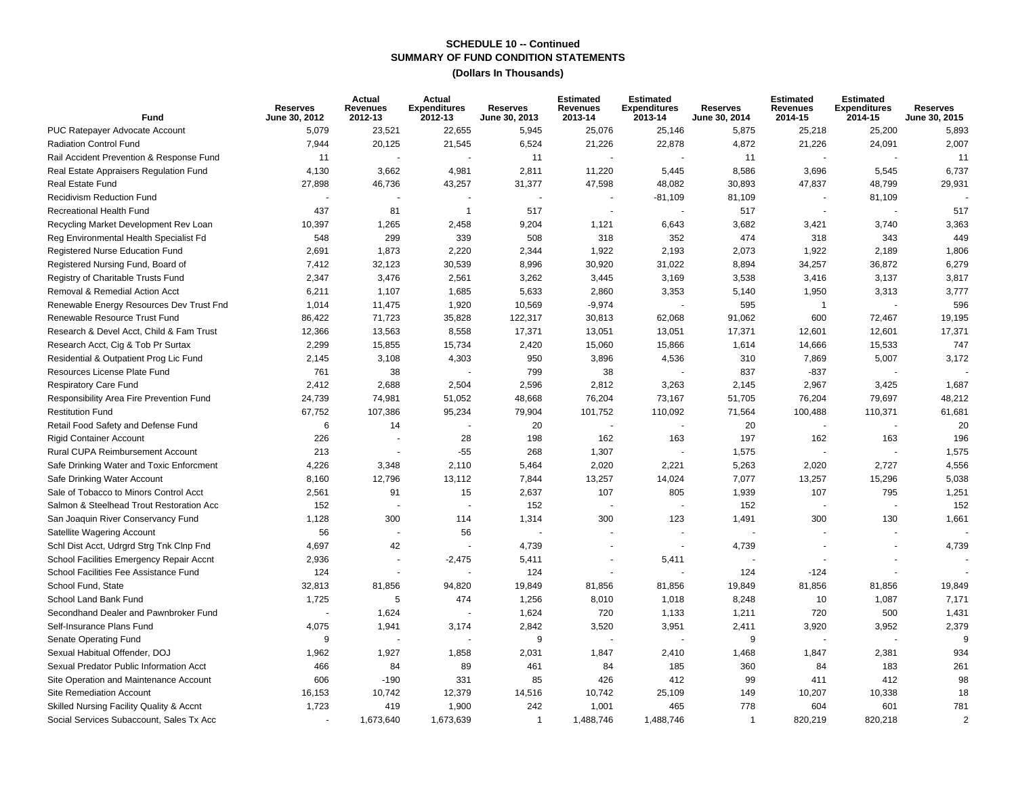| <b>Fund</b>                              | <b>Reserves</b><br>June 30, 2012 | Actual<br><b>Revenues</b><br>2012-13 | Actual<br><b>Expenditures</b><br>2012-13 | <b>Reserves</b><br>June 30, 2013 | <b>Estimated</b><br><b>Revenues</b><br>2013-14 | <b>Estimated</b><br><b>Expenditures</b><br>2013-14 | <b>Reserves</b><br>June 30, 2014 | <b>Estimated</b><br><b>Revenues</b><br>2014-15 | <b>Estimated</b><br><b>Expenditures</b><br>2014-15 | <b>Reserves</b><br>June 30, 2015 |
|------------------------------------------|----------------------------------|--------------------------------------|------------------------------------------|----------------------------------|------------------------------------------------|----------------------------------------------------|----------------------------------|------------------------------------------------|----------------------------------------------------|----------------------------------|
| PUC Ratepayer Advocate Account           | 5,079                            | 23,521                               | 22,655                                   | 5,945                            | 25,076                                         | 25,146                                             | 5,875                            | 25,218                                         | 25,200                                             | 5,893                            |
| Radiation Control Fund                   | 7,944                            | 20,125                               | 21,545                                   | 6,524                            | 21,226                                         | 22,878                                             | 4,872                            | 21,226                                         | 24,091                                             | 2,007                            |
| Rail Accident Prevention & Response Fund | 11                               |                                      |                                          | 11                               |                                                |                                                    | 11                               | $\sim$                                         |                                                    | 11                               |
| Real Estate Appraisers Regulation Fund   | 4,130                            | 3,662                                | 4,981                                    | 2,811                            | 11,220                                         | 5,445                                              | 8,586                            | 3,696                                          | 5,545                                              | 6,737                            |
| Real Estate Fund                         | 27,898                           | 46,736                               | 43,257                                   | 31,377                           | 47,598                                         | 48,082                                             | 30,893                           | 47,837                                         | 48,799                                             | 29,931                           |
| <b>Recidivism Reduction Fund</b>         |                                  |                                      |                                          |                                  |                                                | $-81,109$                                          | 81,109                           |                                                | 81,109                                             |                                  |
| Recreational Health Fund                 | 437                              | 81                                   | $\mathbf{1}$                             | 517                              |                                                |                                                    | 517                              |                                                |                                                    | 517                              |
| Recycling Market Development Rev Loan    | 10,397                           | 1,265                                | 2,458                                    | 9,204                            | 1,121                                          | 6,643                                              | 3,682                            | 3,421                                          | 3,740                                              | 3,363                            |
| Reg Environmental Health Specialist Fd   | 548                              | 299                                  | 339                                      | 508                              | 318                                            | 352                                                | 474                              | 318                                            | 343                                                | 449                              |
| Registered Nurse Education Fund          | 2,691                            | 1,873                                | 2,220                                    | 2,344                            | 1,922                                          | 2,193                                              | 2,073                            | 1,922                                          | 2,189                                              | 1,806                            |
| Registered Nursing Fund, Board of        | 7,412                            | 32,123                               | 30,539                                   | 8,996                            | 30,920                                         | 31,022                                             | 8,894                            | 34,257                                         | 36,872                                             | 6,279                            |
| Registry of Charitable Trusts Fund       | 2,347                            | 3,476                                | 2,561                                    | 3,262                            | 3,445                                          | 3,169                                              | 3,538                            | 3,416                                          | 3,137                                              | 3,817                            |
| Removal & Remedial Action Acct           | 6,211                            | 1,107                                | 1,685                                    | 5,633                            | 2,860                                          | 3,353                                              | 5,140                            | 1,950                                          | 3,313                                              | 3,777                            |
| Renewable Energy Resources Dev Trust Fnd | 1,014                            | 11,475                               | 1,920                                    | 10,569                           | $-9,974$                                       |                                                    | 595                              | $\mathbf{1}$                                   |                                                    | 596                              |
| Renewable Resource Trust Fund            | 86,422                           | 71,723                               | 35,828                                   | 122,317                          | 30,813                                         | 62,068                                             | 91,062                           | 600                                            | 72,467                                             | 19,195                           |
| Research & Devel Acct, Child & Fam Trust | 12,366                           | 13,563                               | 8,558                                    | 17,371                           | 13,051                                         | 13,051                                             | 17,371                           | 12,601                                         | 12,601                                             | 17,371                           |
| Research Acct, Cig & Tob Pr Surtax       | 2,299                            | 15,855                               | 15,734                                   | 2,420                            | 15,060                                         | 15,866                                             | 1,614                            | 14,666                                         | 15,533                                             | 747                              |
| Residential & Outpatient Prog Lic Fund   | 2,145                            | 3,108                                | 4,303                                    | 950                              | 3,896                                          | 4,536                                              | 310                              | 7,869                                          | 5,007                                              | 3,172                            |
| Resources License Plate Fund             | 761                              | 38                                   |                                          | 799                              | 38                                             | ÷.                                                 | 837                              | $-837$                                         |                                                    |                                  |
| <b>Respiratory Care Fund</b>             | 2,412                            | 2,688                                | 2,504                                    | 2,596                            | 2,812                                          | 3,263                                              | 2,145                            | 2,967                                          | 3,425                                              | 1,687                            |
| Responsibility Area Fire Prevention Fund | 24,739                           | 74,981                               | 51,052                                   | 48,668                           | 76,204                                         | 73,167                                             | 51,705                           | 76,204                                         | 79,697                                             | 48,212                           |
| <b>Restitution Fund</b>                  | 67,752                           | 107,386                              | 95,234                                   | 79,904                           | 101,752                                        | 110,092                                            | 71,564                           | 100,488                                        | 110,371                                            | 61,681                           |
| Retail Food Safety and Defense Fund      | 6                                | 14                                   |                                          | 20                               |                                                |                                                    | 20                               |                                                |                                                    | 20                               |
| <b>Rigid Container Account</b>           | 226                              |                                      | 28                                       | 198                              | 162                                            | 163                                                | 197                              | 162                                            | 163                                                | 196                              |
| Rural CUPA Reimbursement Account         | 213                              |                                      | $-55$                                    | 268                              | 1,307                                          |                                                    | 1,575                            | $\overline{a}$                                 |                                                    | 1,575                            |
| Safe Drinking Water and Toxic Enforcment | 4,226                            | 3,348                                | 2,110                                    | 5,464                            | 2,020                                          | 2,221                                              | 5,263                            | 2,020                                          | 2,727                                              | 4,556                            |
| Safe Drinking Water Account              | 8,160                            | 12,796                               | 13,112                                   | 7,844                            | 13,257                                         | 14,024                                             | 7,077                            | 13,257                                         | 15,296                                             | 5,038                            |
| Sale of Tobacco to Minors Control Acct   | 2,561                            | 91                                   | 15                                       | 2,637                            | 107                                            | 805                                                | 1,939                            | 107                                            | 795                                                | 1,251                            |
| Salmon & Steelhead Trout Restoration Acc | 152                              |                                      |                                          | 152                              |                                                | $\overline{\phantom{a}}$                           | 152                              | $\overline{\phantom{a}}$                       |                                                    | 152                              |
| San Joaquin River Conservancy Fund       | 1,128                            | 300                                  | 114                                      | 1,314                            | 300                                            | 123                                                | 1,491                            | 300                                            | 130                                                | 1,661                            |
| Satellite Wagering Account               | 56                               |                                      | 56                                       |                                  |                                                |                                                    |                                  |                                                |                                                    |                                  |
| Schl Dist Acct, Udrgrd Strg Tnk Clnp Fnd | 4,697                            | 42                                   |                                          | 4.739                            |                                                | $\sim$                                             | 4,739                            | $\sim$                                         |                                                    | 4,739                            |
| School Facilities Emergency Repair Accnt | 2,936                            | ÷,                                   | $-2,475$                                 | 5,411                            |                                                | 5,411                                              |                                  |                                                |                                                    |                                  |
| School Facilities Fee Assistance Fund    | 124                              | ÷                                    |                                          | 124                              |                                                |                                                    | 124                              | $-124$                                         |                                                    |                                  |
| School Fund, State                       | 32,813                           | 81,856                               | 94,820                                   | 19,849                           | 81,856                                         | 81,856                                             | 19,849                           | 81,856                                         | 81,856                                             | 19,849                           |
| School Land Bank Fund                    | 1,725                            | 5                                    | 474                                      | 1,256                            | 8,010                                          | 1,018                                              | 8,248                            | 10                                             | 1,087                                              | 7,171                            |
| Secondhand Dealer and Pawnbroker Fund    |                                  | 1,624                                |                                          | 1,624                            | 720                                            | 1,133                                              | 1,211                            | 720                                            | 500                                                | 1,431                            |
| Self-Insurance Plans Fund                | 4,075                            | 1,941                                | 3,174                                    | 2,842                            | 3,520                                          | 3,951                                              | 2,411                            | 3,920                                          | 3,952                                              | 2,379                            |
| Senate Operating Fund                    | 9                                |                                      |                                          | 9                                |                                                |                                                    | 9                                | $\sim$                                         |                                                    |                                  |
| Sexual Habitual Offender, DOJ            | 1,962                            | 1,927                                | 1,858                                    | 2,031                            | 1,847                                          | 2,410                                              | 1,468                            | 1,847                                          | 2,381                                              | 934                              |
| Sexual Predator Public Information Acct  | 466                              | 84                                   | 89                                       | 461                              | 84                                             | 185                                                | 360                              | 84                                             | 183                                                | 261                              |
| Site Operation and Maintenance Account   | 606                              | $-190$                               | 331                                      | 85                               | 426                                            | 412                                                | 99                               | 411                                            | 412                                                | 98                               |
| Site Remediation Account                 | 16,153                           | 10,742                               | 12,379                                   | 14,516                           | 10,742                                         | 25,109                                             | 149                              | 10,207                                         | 10,338                                             | 18                               |
| Skilled Nursing Facility Quality & Accnt | 1,723                            | 419                                  | 1,900                                    | 242                              | 1,001                                          | 465                                                | 778                              | 604                                            | 601                                                | 781                              |
| Social Services Subaccount, Sales Tx Acc |                                  | 1,673,640                            | 1,673,639                                | $\mathbf{1}$                     | 1,488,746                                      | 1,488,746                                          | $\mathbf{1}$                     | 820,219                                        | 820,218                                            | $\overline{2}$                   |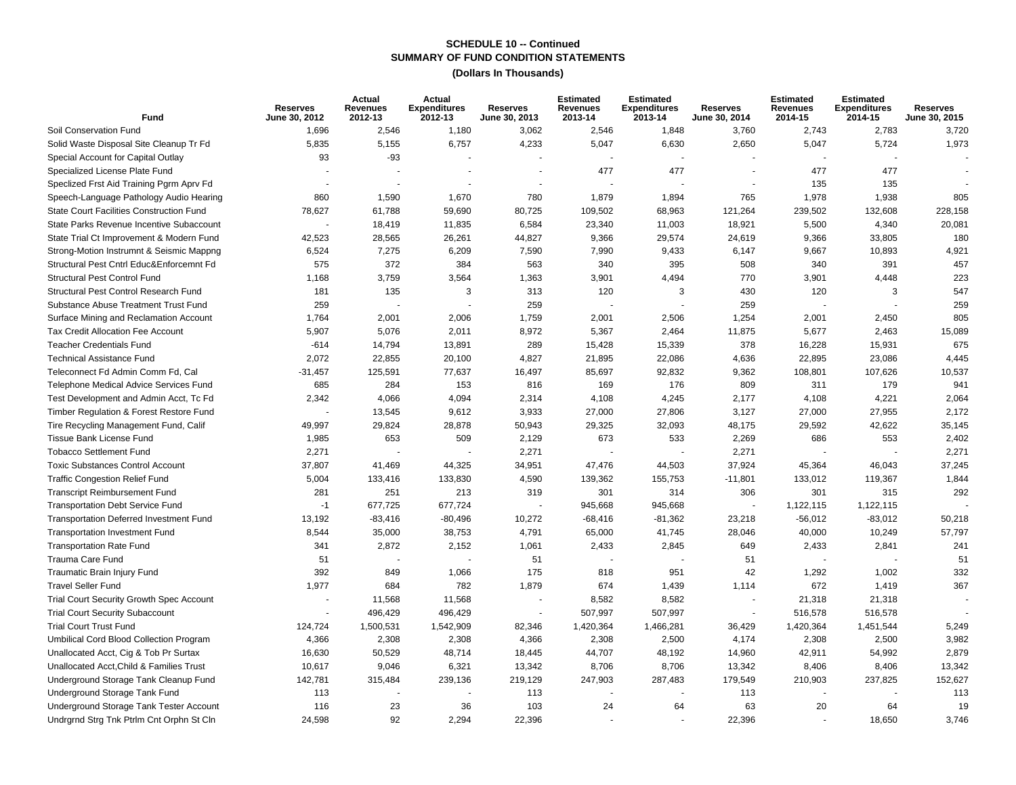| Fund                                            | <b>Reserves</b><br>June 30, 2012 | Actual<br><b>Revenues</b><br>2012-13 | Actual<br><b>Expenditures</b><br>2012-13 | <b>Reserves</b><br><b>June 30, 2013</b> | <b>Estimated</b><br>Revenues<br>2013-14 | <b>Estimated</b><br><b>Expenditures</b><br>2013-14 | <b>Reserves</b><br>June 30, 2014 | <b>Estimated</b><br><b>Revenues</b><br>2014-15 | <b>Estimated</b><br><b>Expenditures</b><br>2014-15 | <b>Reserves</b><br>June 30, 2015 |
|-------------------------------------------------|----------------------------------|--------------------------------------|------------------------------------------|-----------------------------------------|-----------------------------------------|----------------------------------------------------|----------------------------------|------------------------------------------------|----------------------------------------------------|----------------------------------|
| Soil Conservation Fund                          | 1,696                            | 2,546                                | 1,180                                    | 3,062                                   | 2,546                                   | 1,848                                              | 3,760                            | 2,743                                          | 2,783                                              | 3,720                            |
| Solid Waste Disposal Site Cleanup Tr Fd         | 5,835                            | 5,155                                | 6,757                                    | 4,233                                   | 5,047                                   | 6,630                                              | 2,650                            | 5,047                                          | 5,724                                              | 1,973                            |
| Special Account for Capital Outlay              | 93                               | $-93$                                |                                          |                                         |                                         |                                                    |                                  |                                                |                                                    |                                  |
| Specialized License Plate Fund                  |                                  |                                      |                                          |                                         | 477                                     | 477                                                |                                  | 477                                            | 477                                                |                                  |
| Speclized Frst Aid Training Pgrm Aprv Fd        |                                  |                                      |                                          |                                         |                                         |                                                    | $\sim$                           | 135                                            | 135                                                |                                  |
| Speech-Language Pathology Audio Hearing         | 860                              | 1,590                                | 1,670                                    | 780                                     | 1,879                                   | 1,894                                              | 765                              | 1,978                                          | 1,938                                              | 805                              |
| <b>State Court Facilities Construction Fund</b> | 78,627                           | 61,788                               | 59,690                                   | 80,725                                  | 109,502                                 | 68,963                                             | 121,264                          | 239,502                                        | 132,608                                            | 228,158                          |
| State Parks Revenue Incentive Subaccount        |                                  | 18,419                               | 11,835                                   | 6,584                                   | 23,340                                  | 11,003                                             | 18,921                           | 5,500                                          | 4,340                                              | 20,081                           |
| State Trial Ct Improvement & Modern Fund        | 42,523                           | 28,565                               | 26,261                                   | 44,827                                  | 9,366                                   | 29,574                                             | 24,619                           | 9,366                                          | 33,805                                             | 180                              |
| Strong-Motion Instrumnt & Seismic Mappng        | 6,524                            | 7,275                                | 6,209                                    | 7,590                                   | 7,990                                   | 9,433                                              | 6,147                            | 9,667                                          | 10,893                                             | 4,921                            |
| Structural Pest Cntrl Educ&Enforcemnt Fd        | 575                              | 372                                  | 384                                      | 563                                     | 340                                     | 395                                                | 508                              | 340                                            | 391                                                | 457                              |
| Structural Pest Control Fund                    | 1,168                            | 3,759                                | 3,564                                    | 1,363                                   | 3,901                                   | 4,494                                              | 770                              | 3,901                                          | 4,448                                              | 223                              |
| Structural Pest Control Research Fund           | 181                              | 135                                  | 3                                        | 313                                     | 120                                     | 3                                                  | 430                              | 120                                            | 3                                                  | 547                              |
| Substance Abuse Treatment Trust Fund            | 259                              |                                      |                                          | 259                                     |                                         |                                                    | 259                              |                                                |                                                    | 259                              |
| Surface Mining and Reclamation Account          | 1,764                            | 2,001                                | 2,006                                    | 1,759                                   | 2,001                                   | 2,506                                              | 1,254                            | 2,001                                          | 2,450                                              | 805                              |
| Tax Credit Allocation Fee Account               | 5,907                            | 5,076                                | 2,011                                    | 8,972                                   | 5,367                                   | 2,464                                              | 11,875                           | 5,677                                          | 2,463                                              | 15,089                           |
| <b>Teacher Credentials Fund</b>                 | $-614$                           | 14,794                               | 13,891                                   | 289                                     | 15,428                                  | 15,339                                             | 378                              | 16,228                                         | 15,931                                             | 675                              |
| <b>Technical Assistance Fund</b>                | 2,072                            | 22,855                               | 20,100                                   | 4,827                                   | 21,895                                  | 22,086                                             | 4,636                            | 22,895                                         | 23,086                                             | 4,445                            |
| Teleconnect Fd Admin Comm Fd, Cal               | $-31,457$                        | 125,591                              | 77,637                                   | 16,497                                  | 85,697                                  | 92,832                                             | 9,362                            | 108,801                                        | 107,626                                            | 10,537                           |
| Telephone Medical Advice Services Fund          | 685                              | 284                                  | 153                                      | 816                                     | 169                                     | 176                                                | 809                              | 311                                            | 179                                                | 941                              |
| Test Development and Admin Acct, Tc Fd          | 2,342                            | 4,066                                | 4,094                                    | 2,314                                   | 4,108                                   | 4,245                                              | 2,177                            | 4,108                                          | 4,221                                              | 2,064                            |
| Timber Regulation & Forest Restore Fund         |                                  | 13,545                               | 9,612                                    | 3,933                                   | 27,000                                  | 27,806                                             | 3,127                            | 27,000                                         | 27,955                                             | 2,172                            |
| Tire Recycling Management Fund, Calif           | 49,997                           | 29,824                               | 28,878                                   | 50,943                                  | 29,325                                  | 32,093                                             | 48,175                           | 29,592                                         | 42,622                                             | 35,145                           |
| Tissue Bank License Fund                        | 1,985                            | 653                                  | 509                                      | 2,129                                   | 673                                     | 533                                                | 2,269                            | 686                                            | 553                                                | 2,402                            |
| <b>Tobacco Settlement Fund</b>                  | 2,271                            |                                      |                                          | 2,271                                   |                                         |                                                    | 2,271                            |                                                |                                                    | 2,271                            |
| <b>Toxic Substances Control Account</b>         | 37,807                           | 41,469                               | 44,325                                   | 34,951                                  | 47,476                                  | 44,503                                             | 37,924                           | 45,364                                         | 46,043                                             | 37,245                           |
| <b>Traffic Congestion Relief Fund</b>           | 5,004                            | 133,416                              | 133,830                                  | 4,590                                   | 139,362                                 | 155,753                                            | $-11,801$                        | 133,012                                        | 119,367                                            | 1,844                            |
| <b>Transcript Reimbursement Fund</b>            | 281                              | 251                                  | 213                                      | 319                                     | 301                                     | 314                                                | 306                              | 301                                            | 315                                                | 292                              |
| <b>Transportation Debt Service Fund</b>         | $-1$                             | 677,725                              | 677,724                                  |                                         | 945,668                                 | 945,668                                            |                                  | 1,122,115                                      | 1,122,115                                          |                                  |
| <b>Transportation Deferred Investment Fund</b>  | 13,192                           | $-83,416$                            | $-80,496$                                | 10,272                                  | $-68,416$                               | $-81,362$                                          | 23,218                           | -56,012                                        | $-83,012$                                          | 50,218                           |
| <b>Transportation Investment Fund</b>           | 8,544                            | 35,000                               | 38,753                                   | 4,791                                   | 65,000                                  | 41,745                                             | 28,046                           | 40,000                                         | 10,249                                             | 57,797                           |
| <b>Transportation Rate Fund</b>                 | 341                              | 2,872                                | 2,152                                    | 1,061                                   | 2,433                                   | 2,845                                              | 649                              | 2,433                                          | 2,841                                              | 241                              |
| Trauma Care Fund                                | 51                               |                                      | $\overline{a}$                           | 51                                      |                                         |                                                    | 51                               |                                                |                                                    | 51                               |
| Traumatic Brain Injury Fund                     | 392                              | 849                                  | 1,066                                    | 175                                     | 818                                     | 951                                                | 42                               | 1,292                                          | 1,002                                              | 332                              |
| <b>Travel Seller Fund</b>                       | 1,977                            | 684                                  | 782                                      | 1,879                                   | 674                                     | 1,439                                              | 1,114                            | 672                                            | 1,419                                              | 367                              |
| Trial Court Security Growth Spec Account        |                                  | 11,568                               | 11,568                                   |                                         | 8,582                                   | 8,582                                              | $\sim$                           | 21,318                                         | 21,318                                             |                                  |
| <b>Trial Court Security Subaccount</b>          |                                  | 496,429                              | 496,429                                  |                                         | 507,997                                 | 507,997                                            | $\blacksquare$                   | 516,578                                        | 516,578                                            |                                  |
| <b>Trial Court Trust Fund</b>                   | 124,724                          | 1,500,531                            | 1,542,909                                | 82,346                                  | 1,420,364                               | 1,466,281                                          | 36,429                           | 1,420,364                                      | 1,451,544                                          | 5,249                            |
| Umbilical Cord Blood Collection Program         | 4,366                            | 2,308                                | 2,308                                    | 4,366                                   | 2,308                                   | 2,500                                              | 4,174                            | 2,308                                          | 2,500                                              | 3,982                            |
| Unallocated Acct, Cig & Tob Pr Surtax           | 16,630                           | 50,529                               | 48,714                                   | 18,445                                  | 44,707                                  | 48,192                                             | 14,960                           | 42,911                                         | 54,992                                             | 2,879                            |
| Unallocated Acct. Child & Families Trust        | 10,617                           | 9,046                                | 6,321                                    | 13,342                                  | 8,706                                   | 8,706                                              | 13,342                           | 8,406                                          | 8,406                                              | 13,342                           |
| Underground Storage Tank Cleanup Fund           | 142,781                          | 315,484                              | 239,136                                  | 219,129                                 | 247,903                                 | 287,483                                            | 179,549                          | 210,903                                        | 237,825                                            | 152,627                          |
| Underground Storage Tank Fund                   | 113                              |                                      |                                          | 113                                     |                                         |                                                    | 113                              |                                                |                                                    | 113                              |
| Underground Storage Tank Tester Account         | 116                              | 23                                   | 36                                       | 103                                     | 24                                      | 64                                                 | 63                               | 20                                             | 64                                                 | 19                               |
| Undrgrnd Strg Tnk Ptrlm Cnt Orphn St Cln        | 24,598                           | 92                                   | 2,294                                    | 22,396                                  |                                         |                                                    | 22,396                           |                                                | 18,650                                             | 3,746                            |